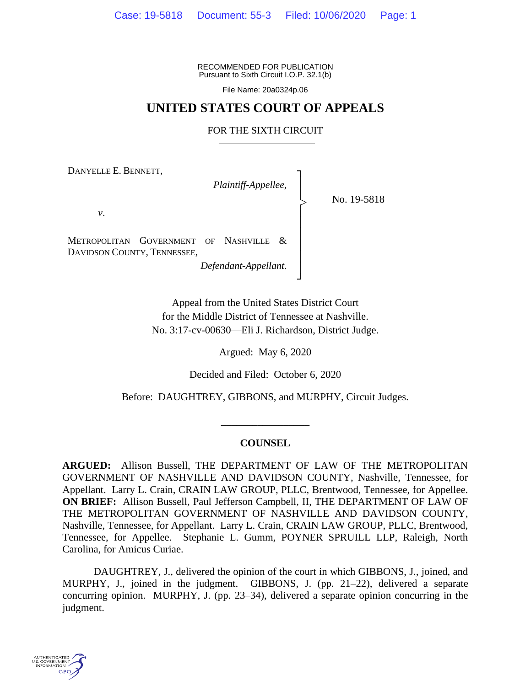RECOMMENDED FOR PUBLICATION Pursuant to Sixth Circuit I.O.P. 32.1(b)

File Name: 20a0324p.06

## **UNITED STATES COURT OF APPEALS**

## FOR THE SIXTH CIRCUIT

┐ │ │ │ │ │ │ │ │ ┘

|<br>|<br>|

DANYELLE E. BENNETT,

*Plaintiff-Appellee*,

No. 19-5818

*v*.

METROPOLITAN GOVERNMENT OF NASHVILLE & DAVIDSON COUNTY, TENNESSEE,

*Defendant-Appellant*.

Appeal from the United States District Court for the Middle District of Tennessee at Nashville. No. 3:17-cv-00630—Eli J. Richardson, District Judge.

Argued: May 6, 2020

Decided and Filed: October 6, 2020

Before: DAUGHTREY, GIBBONS, and MURPHY, Circuit Judges.

## **COUNSEL**

\_\_\_\_\_\_\_\_\_\_\_\_\_\_\_\_\_

**ARGUED:** Allison Bussell, THE DEPARTMENT OF LAW OF THE METROPOLITAN GOVERNMENT OF NASHVILLE AND DAVIDSON COUNTY, Nashville, Tennessee, for Appellant. Larry L. Crain, CRAIN LAW GROUP, PLLC, Brentwood, Tennessee, for Appellee. **ON BRIEF:** Allison Bussell, Paul Jefferson Campbell, II, THE DEPARTMENT OF LAW OF THE METROPOLITAN GOVERNMENT OF NASHVILLE AND DAVIDSON COUNTY, Nashville, Tennessee, for Appellant. Larry L. Crain, CRAIN LAW GROUP, PLLC, Brentwood, Tennessee, for Appellee. Stephanie L. Gumm, POYNER SPRUILL LLP, Raleigh, North Carolina, for Amicus Curiae.

DAUGHTREY, J., delivered the opinion of the court in which GIBBONS, J., joined, and MURPHY, J., joined in the judgment. GIBBONS, J. (pp. 21–22), delivered a separate concurring opinion. MURPHY, J. (pp. 23–34), delivered a separate opinion concurring in the judgment.

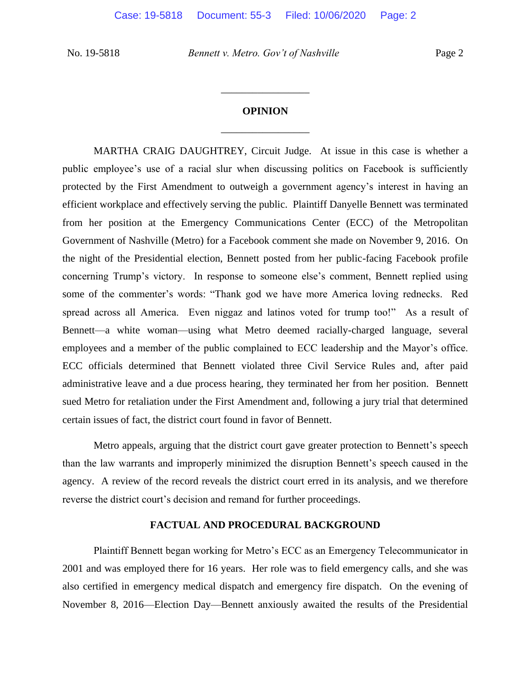# **OPINION** \_\_\_\_\_\_\_\_\_\_\_\_\_\_\_\_\_

\_\_\_\_\_\_\_\_\_\_\_\_\_\_\_\_\_

MARTHA CRAIG DAUGHTREY, Circuit Judge. At issue in this case is whether a public employee's use of a racial slur when discussing politics on Facebook is sufficiently protected by the First Amendment to outweigh a government agency's interest in having an efficient workplace and effectively serving the public. Plaintiff Danyelle Bennett was terminated from her position at the Emergency Communications Center (ECC) of the Metropolitan Government of Nashville (Metro) for a Facebook comment she made on November 9, 2016. On the night of the Presidential election, Bennett posted from her public-facing Facebook profile concerning Trump's victory. In response to someone else's comment, Bennett replied using some of the commenter's words: "Thank god we have more America loving rednecks. Red spread across all America. Even niggaz and latinos voted for trump too!" As a result of Bennett—a white woman—using what Metro deemed racially-charged language, several employees and a member of the public complained to ECC leadership and the Mayor's office. ECC officials determined that Bennett violated three Civil Service Rules and, after paid administrative leave and a due process hearing, they terminated her from her position. Bennett sued Metro for retaliation under the First Amendment and, following a jury trial that determined certain issues of fact, the district court found in favor of Bennett.

Metro appeals, arguing that the district court gave greater protection to Bennett's speech than the law warrants and improperly minimized the disruption Bennett's speech caused in the agency. A review of the record reveals the district court erred in its analysis, and we therefore reverse the district court's decision and remand for further proceedings.

### **FACTUAL AND PROCEDURAL BACKGROUND**

Plaintiff Bennett began working for Metro's ECC as an Emergency Telecommunicator in 2001 and was employed there for 16 years. Her role was to field emergency calls, and she was also certified in emergency medical dispatch and emergency fire dispatch. On the evening of November 8, 2016—Election Day—Bennett anxiously awaited the results of the Presidential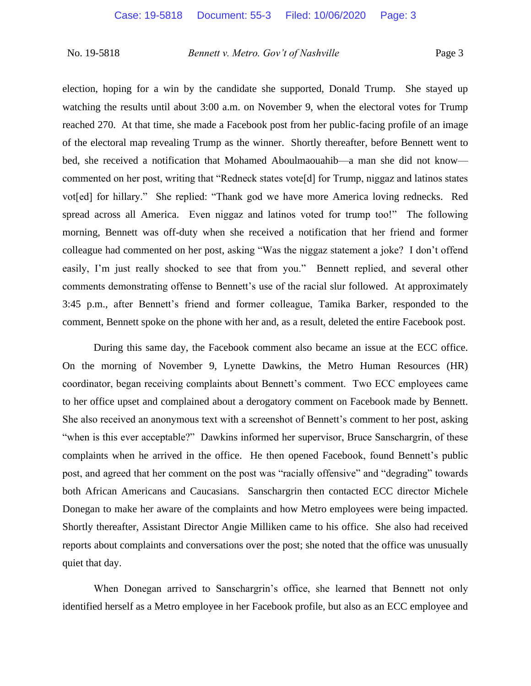election, hoping for a win by the candidate she supported, Donald Trump. She stayed up watching the results until about 3:00 a.m. on November 9, when the electoral votes for Trump reached 270. At that time, she made a Facebook post from her public-facing profile of an image of the electoral map revealing Trump as the winner. Shortly thereafter, before Bennett went to bed, she received a notification that Mohamed Aboulmaouahib—a man she did not know commented on her post, writing that "Redneck states vote[d] for Trump, niggaz and latinos states vot[ed] for hillary." She replied: "Thank god we have more America loving rednecks. Red spread across all America. Even niggaz and latinos voted for trump too!" The following morning, Bennett was off-duty when she received a notification that her friend and former colleague had commented on her post, asking "Was the niggaz statement a joke? I don't offend easily, I'm just really shocked to see that from you." Bennett replied, and several other comments demonstrating offense to Bennett's use of the racial slur followed. At approximately 3:45 p.m., after Bennett's friend and former colleague, Tamika Barker, responded to the comment, Bennett spoke on the phone with her and, as a result, deleted the entire Facebook post.

During this same day, the Facebook comment also became an issue at the ECC office. On the morning of November 9, Lynette Dawkins, the Metro Human Resources (HR) coordinator, began receiving complaints about Bennett's comment. Two ECC employees came to her office upset and complained about a derogatory comment on Facebook made by Bennett. She also received an anonymous text with a screenshot of Bennett's comment to her post, asking "when is this ever acceptable?" Dawkins informed her supervisor, Bruce Sanschargrin, of these complaints when he arrived in the office. He then opened Facebook, found Bennett's public post, and agreed that her comment on the post was "racially offensive" and "degrading" towards both African Americans and Caucasians. Sanschargrin then contacted ECC director Michele Donegan to make her aware of the complaints and how Metro employees were being impacted. Shortly thereafter, Assistant Director Angie Milliken came to his office. She also had received reports about complaints and conversations over the post; she noted that the office was unusually quiet that day.

When Donegan arrived to Sanschargrin's office, she learned that Bennett not only identified herself as a Metro employee in her Facebook profile, but also as an ECC employee and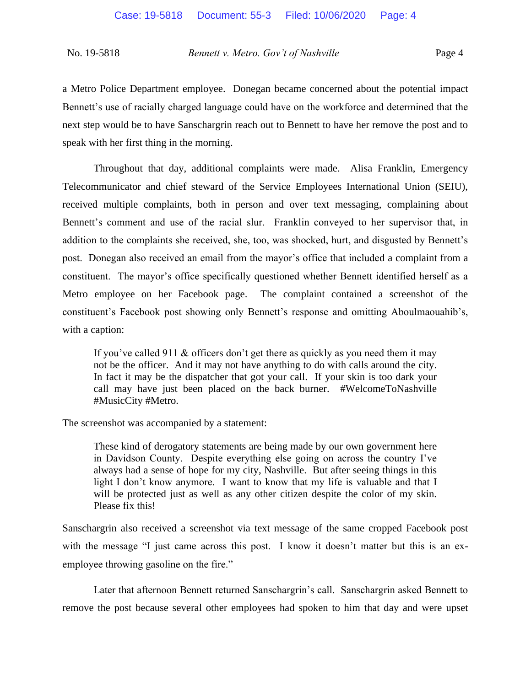a Metro Police Department employee. Donegan became concerned about the potential impact Bennett's use of racially charged language could have on the workforce and determined that the next step would be to have Sanschargrin reach out to Bennett to have her remove the post and to speak with her first thing in the morning.

Throughout that day, additional complaints were made. Alisa Franklin, Emergency Telecommunicator and chief steward of the Service Employees International Union (SEIU), received multiple complaints, both in person and over text messaging, complaining about Bennett's comment and use of the racial slur. Franklin conveyed to her supervisor that, in addition to the complaints she received, she, too, was shocked, hurt, and disgusted by Bennett's post. Donegan also received an email from the mayor's office that included a complaint from a constituent. The mayor's office specifically questioned whether Bennett identified herself as a Metro employee on her Facebook page. The complaint contained a screenshot of the constituent's Facebook post showing only Bennett's response and omitting Aboulmaouahib's, with a caption:

If you've called 911 & officers don't get there as quickly as you need them it may not be the officer. And it may not have anything to do with calls around the city. In fact it may be the dispatcher that got your call. If your skin is too dark your call may have just been placed on the back burner. #WelcomeToNashville #MusicCity #Metro.

The screenshot was accompanied by a statement:

These kind of derogatory statements are being made by our own government here in Davidson County. Despite everything else going on across the country I've always had a sense of hope for my city, Nashville. But after seeing things in this light I don't know anymore. I want to know that my life is valuable and that I will be protected just as well as any other citizen despite the color of my skin. Please fix this!

Sanschargrin also received a screenshot via text message of the same cropped Facebook post with the message "I just came across this post. I know it doesn't matter but this is an exemployee throwing gasoline on the fire."

Later that afternoon Bennett returned Sanschargrin's call. Sanschargrin asked Bennett to remove the post because several other employees had spoken to him that day and were upset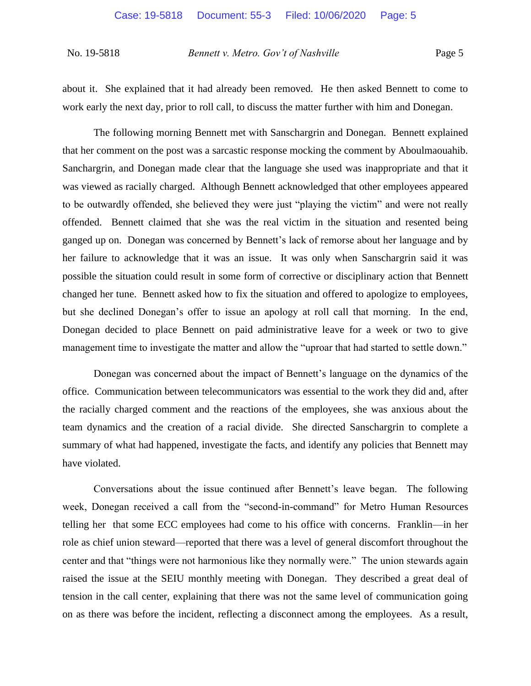about it. She explained that it had already been removed. He then asked Bennett to come to work early the next day, prior to roll call, to discuss the matter further with him and Donegan.

The following morning Bennett met with Sanschargrin and Donegan. Bennett explained that her comment on the post was a sarcastic response mocking the comment by Aboulmaouahib. Sanchargrin, and Donegan made clear that the language she used was inappropriate and that it was viewed as racially charged. Although Bennett acknowledged that other employees appeared to be outwardly offended, she believed they were just "playing the victim" and were not really offended. Bennett claimed that she was the real victim in the situation and resented being ganged up on. Donegan was concerned by Bennett's lack of remorse about her language and by her failure to acknowledge that it was an issue. It was only when Sanschargrin said it was possible the situation could result in some form of corrective or disciplinary action that Bennett changed her tune. Bennett asked how to fix the situation and offered to apologize to employees, but she declined Donegan's offer to issue an apology at roll call that morning. In the end, Donegan decided to place Bennett on paid administrative leave for a week or two to give management time to investigate the matter and allow the "uproar that had started to settle down."

Donegan was concerned about the impact of Bennett's language on the dynamics of the office. Communication between telecommunicators was essential to the work they did and, after the racially charged comment and the reactions of the employees, she was anxious about the team dynamics and the creation of a racial divide. She directed Sanschargrin to complete a summary of what had happened, investigate the facts, and identify any policies that Bennett may have violated.

Conversations about the issue continued after Bennett's leave began. The following week, Donegan received a call from the "second-in-command" for Metro Human Resources telling her that some ECC employees had come to his office with concerns. Franklin—in her role as chief union steward—reported that there was a level of general discomfort throughout the center and that "things were not harmonious like they normally were." The union stewards again raised the issue at the SEIU monthly meeting with Donegan. They described a great deal of tension in the call center, explaining that there was not the same level of communication going on as there was before the incident, reflecting a disconnect among the employees. As a result,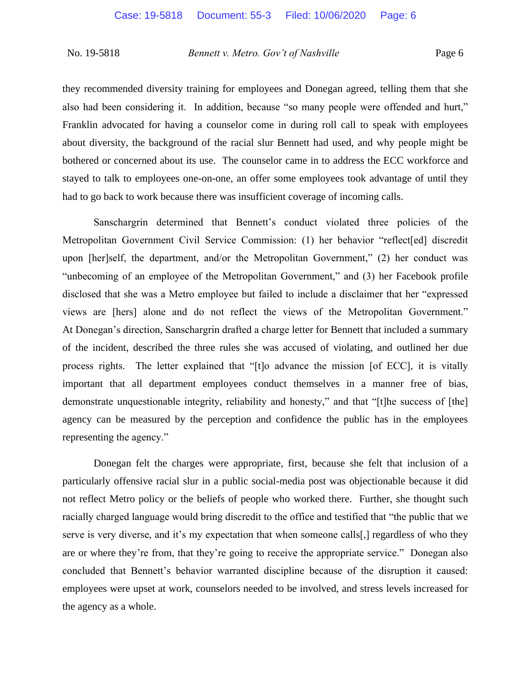they recommended diversity training for employees and Donegan agreed, telling them that she also had been considering it. In addition, because "so many people were offended and hurt," Franklin advocated for having a counselor come in during roll call to speak with employees about diversity, the background of the racial slur Bennett had used, and why people might be bothered or concerned about its use. The counselor came in to address the ECC workforce and stayed to talk to employees one-on-one, an offer some employees took advantage of until they had to go back to work because there was insufficient coverage of incoming calls.

Sanschargrin determined that Bennett's conduct violated three policies of the Metropolitan Government Civil Service Commission: (1) her behavior "reflect[ed] discredit upon [her]self, the department, and/or the Metropolitan Government," (2) her conduct was "unbecoming of an employee of the Metropolitan Government," and (3) her Facebook profile disclosed that she was a Metro employee but failed to include a disclaimer that her "expressed views are [hers] alone and do not reflect the views of the Metropolitan Government." At Donegan's direction, Sanschargrin drafted a charge letter for Bennett that included a summary of the incident, described the three rules she was accused of violating, and outlined her due process rights. The letter explained that "[t]o advance the mission [of ECC], it is vitally important that all department employees conduct themselves in a manner free of bias, demonstrate unquestionable integrity, reliability and honesty," and that "[t]he success of [the] agency can be measured by the perception and confidence the public has in the employees representing the agency."

Donegan felt the charges were appropriate, first, because she felt that inclusion of a particularly offensive racial slur in a public social-media post was objectionable because it did not reflect Metro policy or the beliefs of people who worked there. Further, she thought such racially charged language would bring discredit to the office and testified that "the public that we serve is very diverse, and it's my expectation that when someone calls[,] regardless of who they are or where they're from, that they're going to receive the appropriate service." Donegan also concluded that Bennett's behavior warranted discipline because of the disruption it caused: employees were upset at work, counselors needed to be involved, and stress levels increased for the agency as a whole.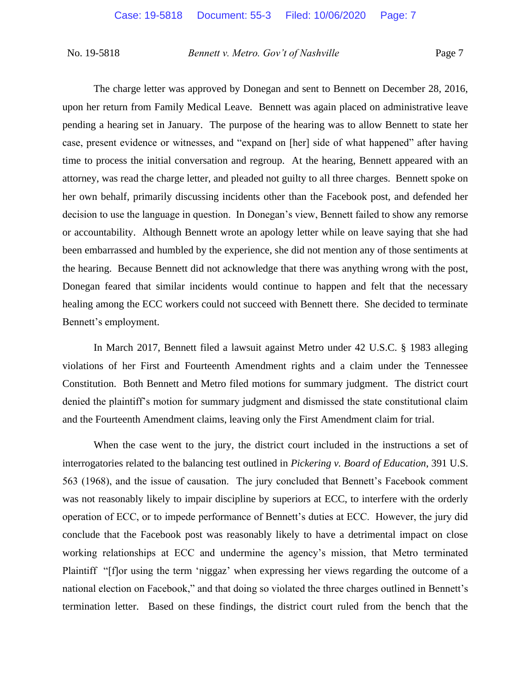The charge letter was approved by Donegan and sent to Bennett on December 28, 2016, upon her return from Family Medical Leave. Bennett was again placed on administrative leave pending a hearing set in January. The purpose of the hearing was to allow Bennett to state her case, present evidence or witnesses, and "expand on [her] side of what happened" after having time to process the initial conversation and regroup. At the hearing, Bennett appeared with an attorney, was read the charge letter, and pleaded not guilty to all three charges. Bennett spoke on her own behalf, primarily discussing incidents other than the Facebook post, and defended her decision to use the language in question. In Donegan's view, Bennett failed to show any remorse or accountability. Although Bennett wrote an apology letter while on leave saying that she had been embarrassed and humbled by the experience, she did not mention any of those sentiments at the hearing. Because Bennett did not acknowledge that there was anything wrong with the post, Donegan feared that similar incidents would continue to happen and felt that the necessary healing among the ECC workers could not succeed with Bennett there. She decided to terminate Bennett's employment.

In March 2017, Bennett filed a lawsuit against Metro under 42 U.S.C. § 1983 alleging violations of her First and Fourteenth Amendment rights and a claim under the Tennessee Constitution. Both Bennett and Metro filed motions for summary judgment. The district court denied the plaintiff's motion for summary judgment and dismissed the state constitutional claim and the Fourteenth Amendment claims, leaving only the First Amendment claim for trial.

When the case went to the jury, the district court included in the instructions a set of interrogatories related to the balancing test outlined in *Pickering v. Board of Education*, 391 U.S. 563 (1968), and the issue of causation. The jury concluded that Bennett's Facebook comment was not reasonably likely to impair discipline by superiors at ECC, to interfere with the orderly operation of ECC, or to impede performance of Bennett's duties at ECC. However, the jury did conclude that the Facebook post was reasonably likely to have a detrimental impact on close working relationships at ECC and undermine the agency's mission, that Metro terminated Plaintiff "[f]or using the term 'niggaz' when expressing her views regarding the outcome of a national election on Facebook," and that doing so violated the three charges outlined in Bennett's termination letter. Based on these findings, the district court ruled from the bench that the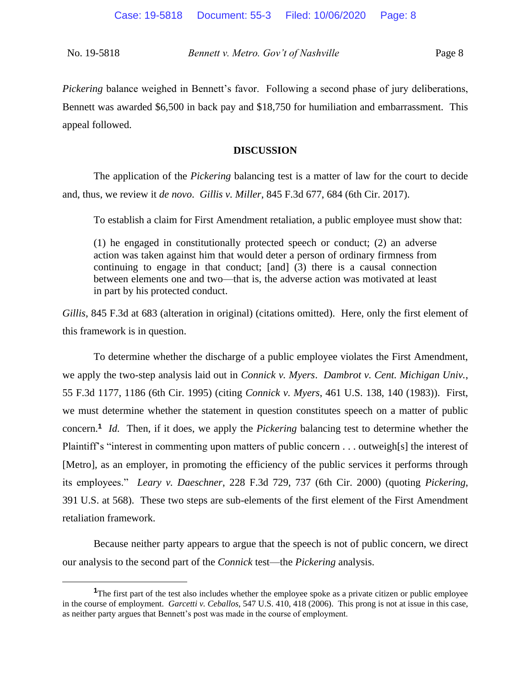*Pickering* balance weighed in Bennett's favor. Following a second phase of jury deliberations, Bennett was awarded \$6,500 in back pay and \$18,750 for humiliation and embarrassment. This appeal followed.

## **DISCUSSION**

The application of the *Pickering* balancing test is a matter of law for the court to decide and, thus, we review it *de novo*. *Gillis v. Miller*, 845 F.3d 677, 684 (6th Cir. 2017).

To establish a claim for First Amendment retaliation, a public employee must show that:

(1) he engaged in constitutionally protected speech or conduct; (2) an adverse action was taken against him that would deter a person of ordinary firmness from continuing to engage in that conduct; [and] (3) there is a causal connection between elements one and two—that is, the adverse action was motivated at least in part by his protected conduct.

*Gillis*, 845 F.3d at 683 (alteration in original) (citations omitted). Here, only the first element of this framework is in question.

To determine whether the discharge of a public employee violates the First Amendment, we apply the two-step analysis laid out in *Connick v. Myers*. *Dambrot v. Cent. Michigan Univ.*, 55 F.3d 1177, 1186 (6th Cir. 1995) (citing *Connick v. Myers*, 461 U.S. 138, 140 (1983)). First, we must determine whether the statement in question constitutes speech on a matter of public concern.**<sup>1</sup>** *Id.* Then, if it does, we apply the *Pickering* balancing test to determine whether the Plaintiff's "interest in commenting upon matters of public concern . . . outweigh[s] the interest of [Metro], as an employer, in promoting the efficiency of the public services it performs through its employees." *Leary v. Daeschner*, 228 F.3d 729, 737 (6th Cir. 2000) (quoting *Pickering*, 391 U.S. at 568). These two steps are sub-elements of the first element of the First Amendment retaliation framework.

Because neither party appears to argue that the speech is not of public concern, we direct our analysis to the second part of the *Connick* test—the *Pickering* analysis.

<sup>&</sup>lt;sup>1</sup>The first part of the test also includes whether the employee spoke as a private citizen or public employee in the course of employment. *Garcetti v. Ceballos*, 547 U.S. 410, 418 (2006). This prong is not at issue in this case, as neither party argues that Bennett's post was made in the course of employment.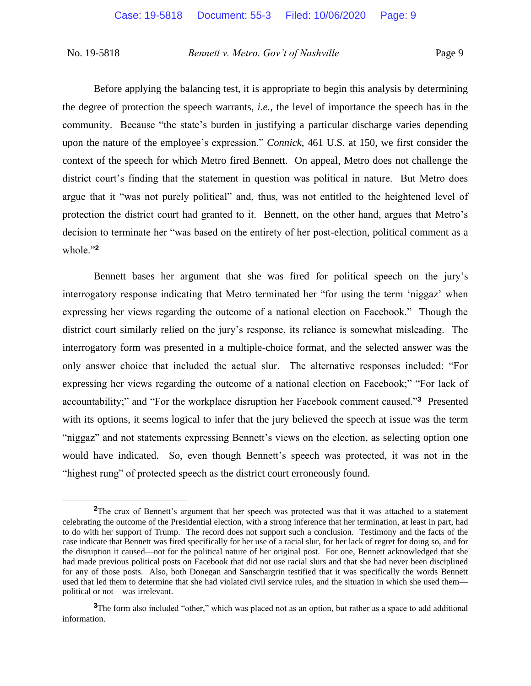Before applying the balancing test, it is appropriate to begin this analysis by determining the degree of protection the speech warrants, *i.e.*, the level of importance the speech has in the community. Because "the state's burden in justifying a particular discharge varies depending upon the nature of the employee's expression," *Connick*, 461 U.S. at 150, we first consider the context of the speech for which Metro fired Bennett. On appeal, Metro does not challenge the district court's finding that the statement in question was political in nature. But Metro does argue that it "was not purely political" and, thus, was not entitled to the heightened level of protection the district court had granted to it. Bennett, on the other hand, argues that Metro's decision to terminate her "was based on the entirety of her post-election, political comment as a whole."**<sup>2</sup>**

Bennett bases her argument that she was fired for political speech on the jury's interrogatory response indicating that Metro terminated her "for using the term 'niggaz' when expressing her views regarding the outcome of a national election on Facebook." Though the district court similarly relied on the jury's response, its reliance is somewhat misleading. The interrogatory form was presented in a multiple-choice format, and the selected answer was the only answer choice that included the actual slur. The alternative responses included: "For expressing her views regarding the outcome of a national election on Facebook;" "For lack of accountability;" and "For the workplace disruption her Facebook comment caused."<sup>3</sup> Presented with its options, it seems logical to infer that the jury believed the speech at issue was the term "niggaz" and not statements expressing Bennett's views on the election, as selecting option one would have indicated. So, even though Bennett's speech was protected, it was not in the "highest rung" of protected speech as the district court erroneously found.

**<sup>2</sup>**The crux of Bennett's argument that her speech was protected was that it was attached to a statement celebrating the outcome of the Presidential election, with a strong inference that her termination, at least in part, had to do with her support of Trump. The record does not support such a conclusion. Testimony and the facts of the case indicate that Bennett was fired specifically for her use of a racial slur, for her lack of regret for doing so, and for the disruption it caused—not for the political nature of her original post. For one, Bennett acknowledged that she had made previous political posts on Facebook that did not use racial slurs and that she had never been disciplined for any of those posts. Also, both Donegan and Sanschargrin testified that it was specifically the words Bennett used that led them to determine that she had violated civil service rules, and the situation in which she used them political or not—was irrelevant.

<sup>&</sup>lt;sup>3</sup>The form also included "other," which was placed not as an option, but rather as a space to add additional information.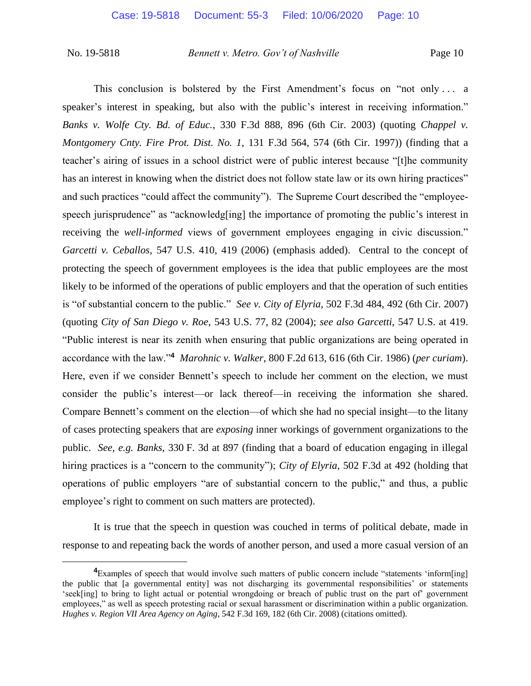This conclusion is bolstered by the First Amendment's focus on "not only . . . a speaker's interest in speaking, but also with the public's interest in receiving information." *Banks v. Wolfe Cty. Bd. of Educ.*, 330 F.3d 888, 896 (6th Cir. 2003) (quoting *Chappel v. Montgomery Cnty. Fire Prot. Dist. No. 1*, 131 F.3d 564, 574 (6th Cir. 1997)) (finding that a teacher's airing of issues in a school district were of public interest because "[t]he community has an interest in knowing when the district does not follow state law or its own hiring practices" and such practices "could affect the community"). The Supreme Court described the "employeespeech jurisprudence" as "acknowledg[ing] the importance of promoting the public's interest in receiving the *well-informed* views of government employees engaging in civic discussion." *Garcetti v. Ceballos*, 547 U.S. 410, 419 (2006) (emphasis added). Central to the concept of protecting the speech of government employees is the idea that public employees are the most likely to be informed of the operations of public employers and that the operation of such entities is "of substantial concern to the public." *See v. City of Elyria*, 502 F.3d 484, 492 (6th Cir. 2007) (quoting *City of San Diego v. Roe*, 543 U.S. 77, 82 (2004); *see also Garcetti*, 547 U.S. at 419. "Public interest is near its zenith when ensuring that public organizations are being operated in accordance with the law."**<sup>4</sup>** *Marohnic v. Walker*, 800 F.2d 613, 616 (6th Cir. 1986) (*per curiam*). Here, even if we consider Bennett's speech to include her comment on the election, we must consider the public's interest—or lack thereof—in receiving the information she shared. Compare Bennett's comment on the election—of which she had no special insight—to the litany of cases protecting speakers that are *exposing* inner workings of government organizations to the public. *See, e.g. Banks*, 330 F. 3d at 897 (finding that a board of education engaging in illegal hiring practices is a "concern to the community"); *City of Elyria*, 502 F.3d at 492 (holding that operations of public employers "are of substantial concern to the public," and thus, a public employee's right to comment on such matters are protected).

It is true that the speech in question was couched in terms of political debate, made in response to and repeating back the words of another person, and used a more casual version of an

**<sup>4</sup>**Examples of speech that would involve such matters of public concern include "statements 'inform[ing] the public that [a governmental entity] was not discharging its governmental responsibilities' or statements 'seek[ing] to bring to light actual or potential wrongdoing or breach of public trust on the part of' government employees," as well as speech protesting racial or sexual harassment or discrimination within a public organization. *Hughes v. Region VII Area Agency on Aging*, 542 F.3d 169, 182 (6th Cir. 2008) (citations omitted).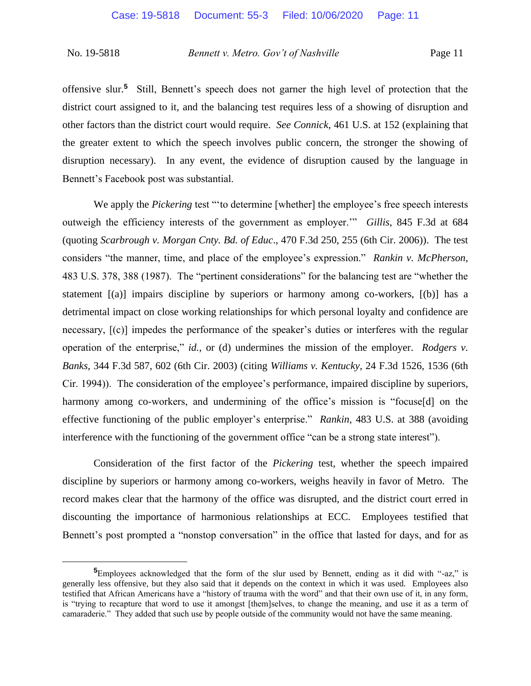offensive slur.**<sup>5</sup>** Still, Bennett's speech does not garner the high level of protection that the district court assigned to it, and the balancing test requires less of a showing of disruption and other factors than the district court would require. *See Connick*, 461 U.S. at 152 (explaining that the greater extent to which the speech involves public concern, the stronger the showing of disruption necessary). In any event, the evidence of disruption caused by the language in Bennett's Facebook post was substantial.

We apply the *Pickering* test "'to determine [whether] the employee's free speech interests outweigh the efficiency interests of the government as employer.'" *Gillis*, 845 F.3d at 684 (quoting *Scarbrough v. Morgan Cnty. Bd. of Educ*., 470 F.3d 250, 255 (6th Cir. 2006)). The test considers "the manner, time, and place of the employee's expression." *Rankin v. McPherson*, 483 U.S. 378, 388 (1987). The "pertinent considerations" for the balancing test are "whether the statement  $[(a)]$  impairs discipline by superiors or harmony among co-workers,  $[(b)]$  has a detrimental impact on close working relationships for which personal loyalty and confidence are necessary, [(c)] impedes the performance of the speaker's duties or interferes with the regular operation of the enterprise," *id.*, or (d) undermines the mission of the employer. *Rodgers v. Banks*, 344 F.3d 587, 602 (6th Cir. 2003) (citing *Williams v. Kentucky*, 24 F.3d 1526, 1536 (6th Cir. 1994)). The consideration of the employee's performance, impaired discipline by superiors, harmony among co-workers, and undermining of the office's mission is "focuse[d] on the effective functioning of the public employer's enterprise." *Rankin*, 483 U.S. at 388 (avoiding interference with the functioning of the government office "can be a strong state interest").

Consideration of the first factor of the *Pickering* test, whether the speech impaired discipline by superiors or harmony among co-workers, weighs heavily in favor of Metro. The record makes clear that the harmony of the office was disrupted, and the district court erred in discounting the importance of harmonious relationships at ECC. Employees testified that Bennett's post prompted a "nonstop conversation" in the office that lasted for days, and for as

**<sup>5</sup>**Employees acknowledged that the form of the slur used by Bennett, ending as it did with "-az," is generally less offensive, but they also said that it depends on the context in which it was used. Employees also testified that African Americans have a "history of trauma with the word" and that their own use of it, in any form, is "trying to recapture that word to use it amongst [them]selves, to change the meaning, and use it as a term of camaraderie." They added that such use by people outside of the community would not have the same meaning.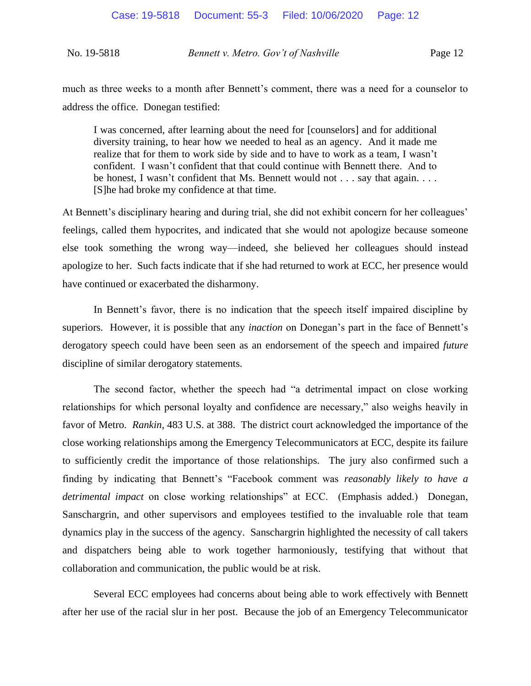| No. 19-5818 | Bennett v. Metro. Gov't of Nashville | Page 12 |
|-------------|--------------------------------------|---------|
|             |                                      |         |

much as three weeks to a month after Bennett's comment, there was a need for a counselor to address the office. Donegan testified:

I was concerned, after learning about the need for [counselors] and for additional diversity training, to hear how we needed to heal as an agency. And it made me realize that for them to work side by side and to have to work as a team, I wasn't confident. I wasn't confident that that could continue with Bennett there. And to be honest, I wasn't confident that Ms. Bennett would not . . . say that again. . . . [S]he had broke my confidence at that time.

At Bennett's disciplinary hearing and during trial, she did not exhibit concern for her colleagues' feelings, called them hypocrites, and indicated that she would not apologize because someone else took something the wrong way—indeed, she believed her colleagues should instead apologize to her. Such facts indicate that if she had returned to work at ECC, her presence would have continued or exacerbated the disharmony.

In Bennett's favor, there is no indication that the speech itself impaired discipline by superiors. However, it is possible that any *inaction* on Donegan's part in the face of Bennett's derogatory speech could have been seen as an endorsement of the speech and impaired *future*  discipline of similar derogatory statements.

The second factor, whether the speech had "a detrimental impact on close working relationships for which personal loyalty and confidence are necessary," also weighs heavily in favor of Metro. *Rankin*, 483 U.S. at 388. The district court acknowledged the importance of the close working relationships among the Emergency Telecommunicators at ECC, despite its failure to sufficiently credit the importance of those relationships. The jury also confirmed such a finding by indicating that Bennett's "Facebook comment was *reasonably likely to have a detrimental impact* on close working relationships" at ECC. (Emphasis added.) Donegan, Sanschargrin, and other supervisors and employees testified to the invaluable role that team dynamics play in the success of the agency. Sanschargrin highlighted the necessity of call takers and dispatchers being able to work together harmoniously, testifying that without that collaboration and communication, the public would be at risk.

Several ECC employees had concerns about being able to work effectively with Bennett after her use of the racial slur in her post. Because the job of an Emergency Telecommunicator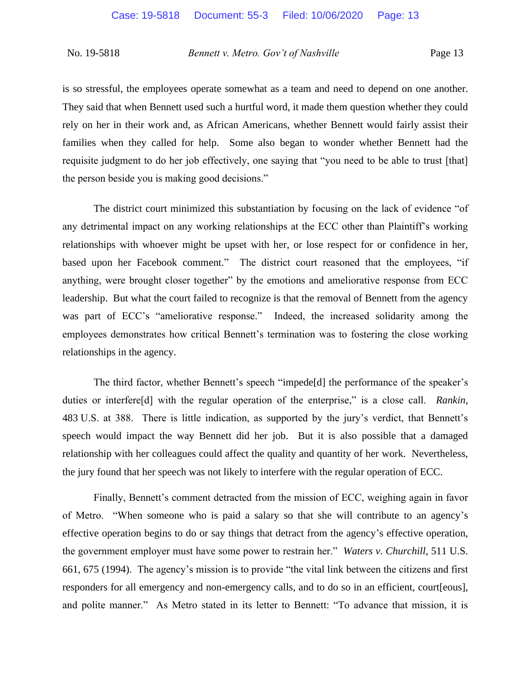is so stressful, the employees operate somewhat as a team and need to depend on one another. They said that when Bennett used such a hurtful word, it made them question whether they could rely on her in their work and, as African Americans, whether Bennett would fairly assist their families when they called for help. Some also began to wonder whether Bennett had the requisite judgment to do her job effectively, one saying that "you need to be able to trust [that] the person beside you is making good decisions."

The district court minimized this substantiation by focusing on the lack of evidence "of any detrimental impact on any working relationships at the ECC other than Plaintiff's working relationships with whoever might be upset with her, or lose respect for or confidence in her, based upon her Facebook comment." The district court reasoned that the employees, "if anything, were brought closer together" by the emotions and ameliorative response from ECC leadership. But what the court failed to recognize is that the removal of Bennett from the agency was part of ECC's "ameliorative response." Indeed, the increased solidarity among the employees demonstrates how critical Bennett's termination was to fostering the close working relationships in the agency.

The third factor, whether Bennett's speech "impede[d] the performance of the speaker's duties or interfere[d] with the regular operation of the enterprise," is a close call. *Rankin*, 483 U.S. at 388. There is little indication, as supported by the jury's verdict, that Bennett's speech would impact the way Bennett did her job. But it is also possible that a damaged relationship with her colleagues could affect the quality and quantity of her work. Nevertheless, the jury found that her speech was not likely to interfere with the regular operation of ECC.

Finally, Bennett's comment detracted from the mission of ECC, weighing again in favor of Metro. "When someone who is paid a salary so that she will contribute to an agency's effective operation begins to do or say things that detract from the agency's effective operation, the government employer must have some power to restrain her." *Waters v. Churchill*, 511 U.S. 661, 675 (1994). The agency's mission is to provide "the vital link between the citizens and first responders for all emergency and non-emergency calls, and to do so in an efficient, court[eous], and polite manner." As Metro stated in its letter to Bennett: "To advance that mission, it is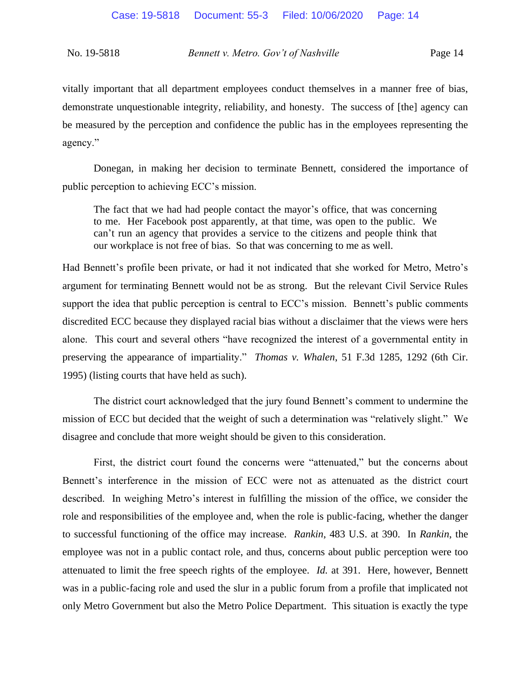vitally important that all department employees conduct themselves in a manner free of bias, demonstrate unquestionable integrity, reliability, and honesty. The success of [the] agency can be measured by the perception and confidence the public has in the employees representing the agency."

Donegan, in making her decision to terminate Bennett, considered the importance of public perception to achieving ECC's mission.

The fact that we had had people contact the mayor's office, that was concerning to me. Her Facebook post apparently, at that time, was open to the public. We can't run an agency that provides a service to the citizens and people think that our workplace is not free of bias. So that was concerning to me as well.

Had Bennett's profile been private, or had it not indicated that she worked for Metro, Metro's argument for terminating Bennett would not be as strong. But the relevant Civil Service Rules support the idea that public perception is central to ECC's mission. Bennett's public comments discredited ECC because they displayed racial bias without a disclaimer that the views were hers alone. This court and several others "have recognized the interest of a governmental entity in preserving the appearance of impartiality." *Thomas v. Whalen*, 51 F.3d 1285, 1292 (6th Cir. 1995) (listing courts that have held as such).

The district court acknowledged that the jury found Bennett's comment to undermine the mission of ECC but decided that the weight of such a determination was "relatively slight." We disagree and conclude that more weight should be given to this consideration.

First, the district court found the concerns were "attenuated," but the concerns about Bennett's interference in the mission of ECC were not as attenuated as the district court described. In weighing Metro's interest in fulfilling the mission of the office, we consider the role and responsibilities of the employee and, when the role is public-facing, whether the danger to successful functioning of the office may increase. *Rankin*, 483 U.S. at 390. In *Rankin*, the employee was not in a public contact role, and thus, concerns about public perception were too attenuated to limit the free speech rights of the employee. *Id.* at 391. Here, however, Bennett was in a public-facing role and used the slur in a public forum from a profile that implicated not only Metro Government but also the Metro Police Department. This situation is exactly the type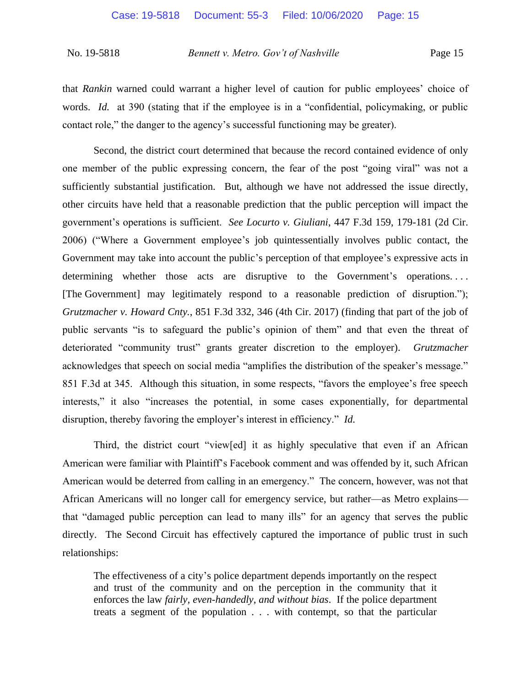that *Rankin* warned could warrant a higher level of caution for public employees' choice of words. *Id.* at 390 (stating that if the employee is in a "confidential, policymaking, or public contact role," the danger to the agency's successful functioning may be greater).

Second, the district court determined that because the record contained evidence of only one member of the public expressing concern, the fear of the post "going viral" was not a sufficiently substantial justification. But, although we have not addressed the issue directly, other circuits have held that a reasonable prediction that the public perception will impact the government's operations is sufficient. *See Locurto v. Giuliani*, 447 F.3d 159, 179-181 (2d Cir. 2006) ("Where a Government employee's job quintessentially involves public contact, the Government may take into account the public's perception of that employee's expressive acts in determining whether those acts are disruptive to the Government's operations.... [The Government] may legitimately respond to a reasonable prediction of disruption."); *Grutzmacher v. Howard Cnty.*, 851 F.3d 332, 346 (4th Cir. 2017) (finding that part of the job of public servants "is to safeguard the public's opinion of them" and that even the threat of deteriorated "community trust" grants greater discretion to the employer). *Grutzmacher* acknowledges that speech on social media "amplifies the distribution of the speaker's message." 851 F.3d at 345. Although this situation, in some respects, "favors the employee's free speech interests," it also "increases the potential, in some cases exponentially, for departmental disruption, thereby favoring the employer's interest in efficiency." *Id.* 

Third, the district court "view[ed] it as highly speculative that even if an African American were familiar with Plaintiff's Facebook comment and was offended by it, such African American would be deterred from calling in an emergency." The concern, however, was not that African Americans will no longer call for emergency service, but rather—as Metro explains that "damaged public perception can lead to many ills" for an agency that serves the public directly. The Second Circuit has effectively captured the importance of public trust in such relationships:

The effectiveness of a city's police department depends importantly on the respect and trust of the community and on the perception in the community that it enforces the law *fairly, even-handedly, and without bias*. If the police department treats a segment of the population . . . with contempt, so that the particular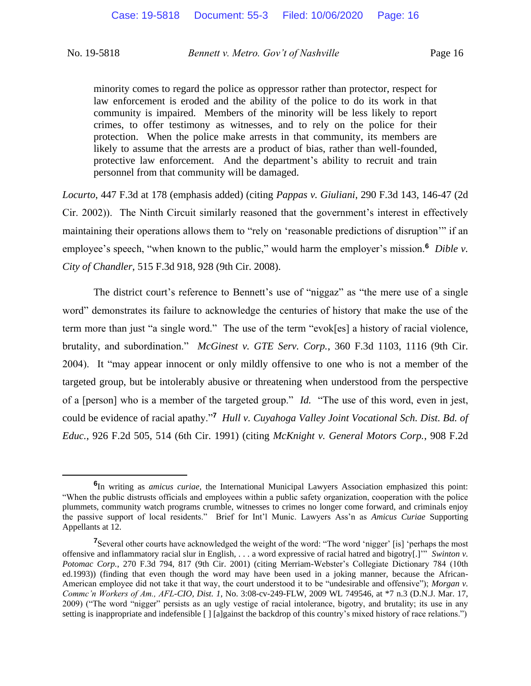minority comes to regard the police as oppressor rather than protector, respect for law enforcement is eroded and the ability of the police to do its work in that community is impaired. Members of the minority will be less likely to report crimes, to offer testimony as witnesses, and to rely on the police for their protection. When the police make arrests in that community, its members are likely to assume that the arrests are a product of bias, rather than well-founded, protective law enforcement. And the department's ability to recruit and train personnel from that community will be damaged.

*Locurto*, 447 F.3d at 178 (emphasis added) (citing *Pappas v. Giuliani*, 290 F.3d 143, 146-47 (2d Cir. 2002)). The Ninth Circuit similarly reasoned that the government's interest in effectively maintaining their operations allows them to "rely on 'reasonable predictions of disruption'" if an employee's speech, "when known to the public," would harm the employer's mission.<sup>6</sup> Dible v. *City of Chandler*, 515 F.3d 918, 928 (9th Cir. 2008).

The district court's reference to Bennett's use of "niggaz" as "the mere use of a single word" demonstrates its failure to acknowledge the centuries of history that make the use of the term more than just "a single word." The use of the term "evok[es] a history of racial violence, brutality, and subordination." *McGinest v. GTE Serv. Corp.*, 360 F.3d 1103, 1116 (9th Cir. 2004). It "may appear innocent or only mildly offensive to one who is not a member of the targeted group, but be intolerably abusive or threatening when understood from the perspective of a [person] who is a member of the targeted group." *Id.* "The use of this word, even in jest, could be evidence of racial apathy."**<sup>7</sup>** *Hull v. Cuyahoga Valley Joint Vocational Sch. Dist. Bd. of Educ.*, 926 F.2d 505, 514 (6th Cir. 1991) (citing *McKnight v. General Motors Corp.*, 908 F.2d

**<sup>6</sup>** In writing as *amicus curiae*, the International Municipal Lawyers Association emphasized this point: "When the public distrusts officials and employees within a public safety organization, cooperation with the police plummets, community watch programs crumble, witnesses to crimes no longer come forward, and criminals enjoy the passive support of local residents." Brief for Int'l Munic. Lawyers Ass'n as *Amicus Curiae* Supporting Appellants at 12.

**<sup>7</sup>**Several other courts have acknowledged the weight of the word: "The word 'nigger' [is] 'perhaps the most offensive and inflammatory racial slur in English, . . . a word expressive of racial hatred and bigotry[.]'" *Swinton v. Potomac Corp.*, 270 F.3d 794, 817 (9th Cir. 2001) (citing Merriam-Webster's Collegiate Dictionary 784 (10th ed.1993)) (finding that even though the word may have been used in a joking manner, because the African-American employee did not take it that way, the court understood it to be "undesirable and offensive"); *Morgan v. Commc'n Workers of Am., AFL-CIO, Dist. 1*, No. 3:08-cv-249-FLW, 2009 WL 749546, at \*7 n.3 (D.N.J. Mar. 17, 2009) ("The word "nigger" persists as an ugly vestige of racial intolerance, bigotry, and brutality; its use in any setting is inappropriate and indefensible [ ] [a]gainst the backdrop of this country's mixed history of race relations.")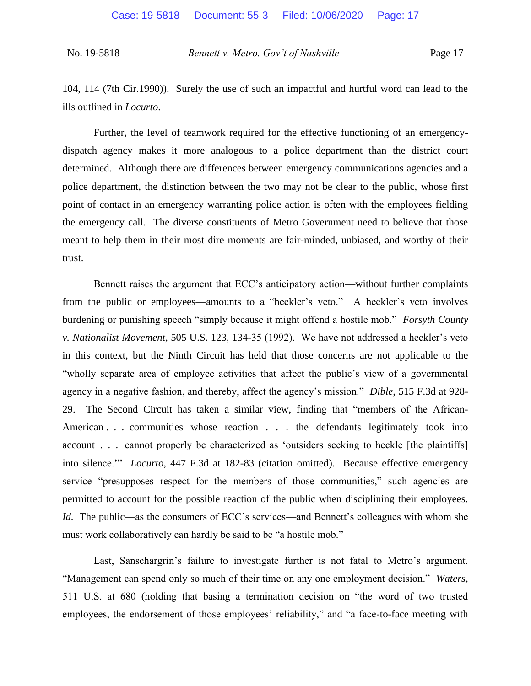104, 114 (7th Cir.1990)). Surely the use of such an impactful and hurtful word can lead to the ills outlined in *Locurto*.

Further, the level of teamwork required for the effective functioning of an emergencydispatch agency makes it more analogous to a police department than the district court determined. Although there are differences between emergency communications agencies and a police department, the distinction between the two may not be clear to the public, whose first point of contact in an emergency warranting police action is often with the employees fielding the emergency call. The diverse constituents of Metro Government need to believe that those meant to help them in their most dire moments are fair-minded, unbiased, and worthy of their trust.

Bennett raises the argument that ECC's anticipatory action—without further complaints from the public or employees—amounts to a "heckler's veto." A heckler's veto involves burdening or punishing speech "simply because it might offend a hostile mob." *Forsyth County v. Nationalist Movement*, 505 U.S. 123, 134-35 (1992). We have not addressed a heckler's veto in this context, but the Ninth Circuit has held that those concerns are not applicable to the "wholly separate area of employee activities that affect the public's view of a governmental agency in a negative fashion, and thereby, affect the agency's mission." *Dible*, 515 F.3d at 928- 29. The Second Circuit has taken a similar view, finding that "members of the African-American . . . communities whose reaction . . . the defendants legitimately took into account . . . cannot properly be characterized as 'outsiders seeking to heckle [the plaintiffs] into silence.'" *Locurto*, 447 F.3d at 182-83 (citation omitted). Because effective emergency service "presupposes respect for the members of those communities," such agencies are permitted to account for the possible reaction of the public when disciplining their employees. *Id.* The public—as the consumers of ECC's services—and Bennett's colleagues with whom she must work collaboratively can hardly be said to be "a hostile mob."

Last, Sanschargrin's failure to investigate further is not fatal to Metro's argument. "Management can spend only so much of their time on any one employment decision." *Waters*, 511 U.S. at 680 (holding that basing a termination decision on "the word of two trusted employees, the endorsement of those employees' reliability," and "a face-to-face meeting with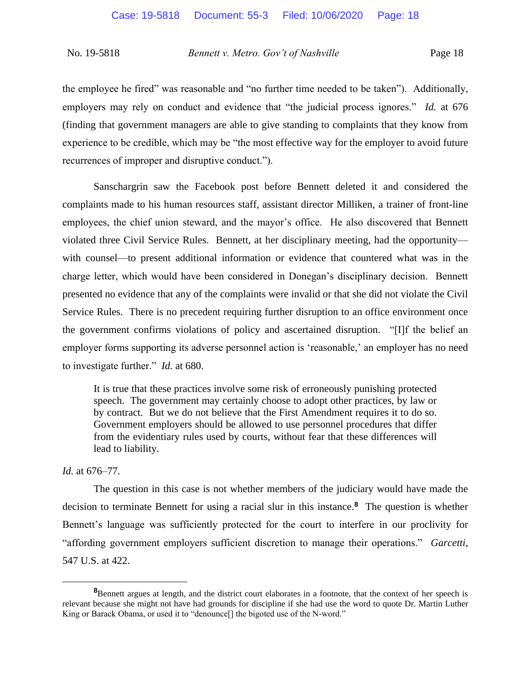the employee he fired" was reasonable and "no further time needed to be taken"). Additionally, employers may rely on conduct and evidence that "the judicial process ignores." *Id.* at 676 (finding that government managers are able to give standing to complaints that they know from experience to be credible, which may be "the most effective way for the employer to avoid future recurrences of improper and disruptive conduct.").

Sanschargrin saw the Facebook post before Bennett deleted it and considered the complaints made to his human resources staff, assistant director Milliken, a trainer of front-line employees, the chief union steward, and the mayor's office. He also discovered that Bennett violated three Civil Service Rules. Bennett, at her disciplinary meeting, had the opportunity with counsel—to present additional information or evidence that countered what was in the charge letter, which would have been considered in Donegan's disciplinary decision. Bennett presented no evidence that any of the complaints were invalid or that she did not violate the Civil Service Rules. There is no precedent requiring further disruption to an office environment once the government confirms violations of policy and ascertained disruption. "[I]f the belief an employer forms supporting its adverse personnel action is 'reasonable,' an employer has no need to investigate further." *Id.* at 680.

It is true that these practices involve some risk of erroneously punishing protected speech. The government may certainly choose to adopt other practices, by law or by contract. But we do not believe that the First Amendment requires it to do so. Government employers should be allowed to use personnel procedures that differ from the evidentiary rules used by courts, without fear that these differences will lead to liability.

### *Id.* at 676–77.

The question in this case is not whether members of the judiciary would have made the decision to terminate Bennett for using a racial slur in this instance.**<sup>8</sup>** The question is whether Bennett's language was sufficiently protected for the court to interfere in our proclivity for "affording government employers sufficient discretion to manage their operations." *Garcetti*, 547 U.S. at 422.

**<sup>8</sup>**Bennett argues at length, and the district court elaborates in a footnote, that the context of her speech is relevant because she might not have had grounds for discipline if she had use the word to quote Dr. Martin Luther King or Barack Obama, or used it to "denounce<sup>[]</sup> the bigoted use of the N-word."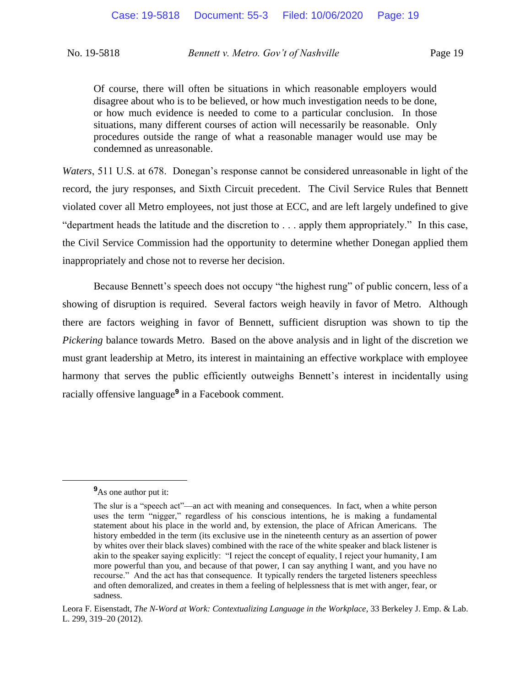Of course, there will often be situations in which reasonable employers would disagree about who is to be believed, or how much investigation needs to be done, or how much evidence is needed to come to a particular conclusion. In those situations, many different courses of action will necessarily be reasonable. Only procedures outside the range of what a reasonable manager would use may be condemned as unreasonable.

*Waters*, 511 U.S. at 678. Donegan's response cannot be considered unreasonable in light of the record, the jury responses, and Sixth Circuit precedent. The Civil Service Rules that Bennett violated cover all Metro employees, not just those at ECC, and are left largely undefined to give "department heads the latitude and the discretion to . . . apply them appropriately." In this case, the Civil Service Commission had the opportunity to determine whether Donegan applied them inappropriately and chose not to reverse her decision.

Because Bennett's speech does not occupy "the highest rung" of public concern, less of a showing of disruption is required. Several factors weigh heavily in favor of Metro. Although there are factors weighing in favor of Bennett, sufficient disruption was shown to tip the *Pickering* balance towards Metro. Based on the above analysis and in light of the discretion we must grant leadership at Metro, its interest in maintaining an effective workplace with employee harmony that serves the public efficiently outweighs Bennett's interest in incidentally using racially offensive language**<sup>9</sup>** in a Facebook comment.

**<sup>9</sup>**As one author put it:

The slur is a "speech act"—an act with meaning and consequences. In fact, when a white person uses the term "nigger," regardless of his conscious intentions, he is making a fundamental statement about his place in the world and, by extension, the place of African Americans. The history embedded in the term (its exclusive use in the nineteenth century as an assertion of power by whites over their black slaves) combined with the race of the white speaker and black listener is akin to the speaker saying explicitly: "I reject the concept of equality, I reject your humanity, I am more powerful than you, and because of that power, I can say anything I want, and you have no recourse." And the act has that consequence. It typically renders the targeted listeners speechless and often demoralized, and creates in them a feeling of helplessness that is met with anger, fear, or sadness.

Leora F. Eisenstadt, *The N-Word at Work: Contextualizing Language in the Workplace*, 33 Berkeley J. Emp. & Lab. L. 299, 319–20 (2012).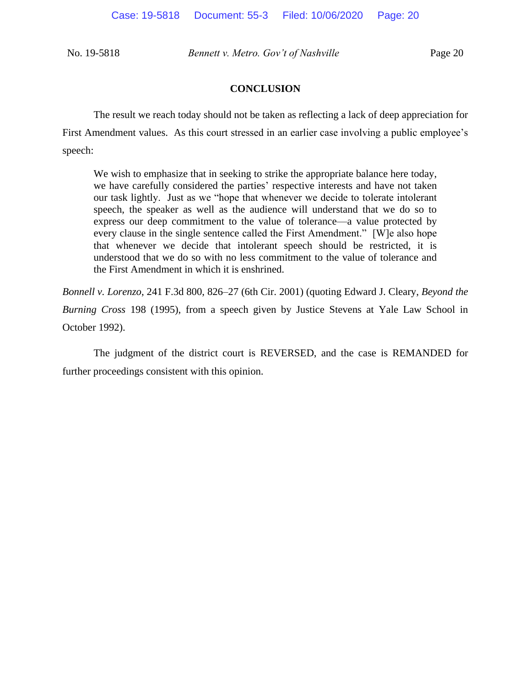### **CONCLUSION**

The result we reach today should not be taken as reflecting a lack of deep appreciation for First Amendment values. As this court stressed in an earlier case involving a public employee's speech:

We wish to emphasize that in seeking to strike the appropriate balance here today, we have carefully considered the parties' respective interests and have not taken our task lightly. Just as we "hope that whenever we decide to tolerate intolerant speech, the speaker as well as the audience will understand that we do so to express our deep commitment to the value of tolerance—a value protected by every clause in the single sentence called the First Amendment." [W]e also hope that whenever we decide that intolerant speech should be restricted, it is understood that we do so with no less commitment to the value of tolerance and the First Amendment in which it is enshrined.

*Bonnell v. Lorenzo*, 241 F.3d 800, 826–27 (6th Cir. 2001) (quoting Edward J. Cleary, *Beyond the Burning Cross* 198 (1995), from a speech given by Justice Stevens at Yale Law School in October 1992).

The judgment of the district court is REVERSED, and the case is REMANDED for further proceedings consistent with this opinion.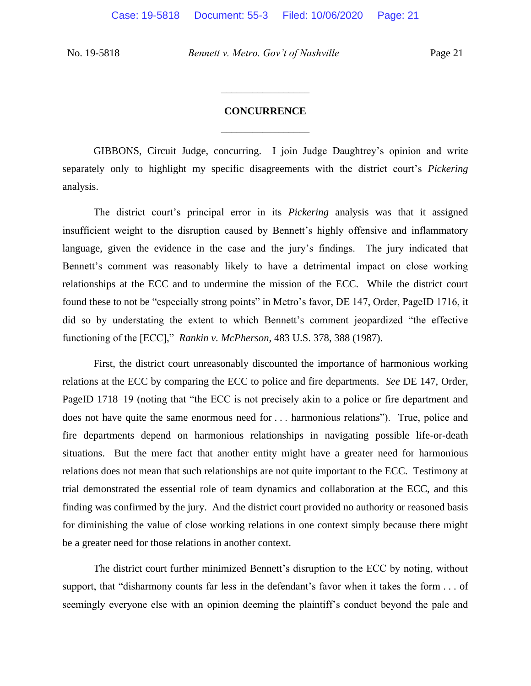# **CONCURRENCE** \_\_\_\_\_\_\_\_\_\_\_\_\_\_\_\_\_

\_\_\_\_\_\_\_\_\_\_\_\_\_\_\_\_\_

GIBBONS, Circuit Judge, concurring. I join Judge Daughtrey's opinion and write separately only to highlight my specific disagreements with the district court's *Pickering* analysis.

The district court's principal error in its *Pickering* analysis was that it assigned insufficient weight to the disruption caused by Bennett's highly offensive and inflammatory language, given the evidence in the case and the jury's findings. The jury indicated that Bennett's comment was reasonably likely to have a detrimental impact on close working relationships at the ECC and to undermine the mission of the ECC. While the district court found these to not be "especially strong points" in Metro's favor, DE 147, Order, PageID 1716, it did so by understating the extent to which Bennett's comment jeopardized "the effective functioning of the [ECC]," *Rankin v. McPherson*, 483 U.S. 378, 388 (1987).

First, the district court unreasonably discounted the importance of harmonious working relations at the ECC by comparing the ECC to police and fire departments. *See* DE 147, Order, PageID 1718–19 (noting that "the ECC is not precisely akin to a police or fire department and does not have quite the same enormous need for . . . harmonious relations"). True, police and fire departments depend on harmonious relationships in navigating possible life-or-death situations. But the mere fact that another entity might have a greater need for harmonious relations does not mean that such relationships are not quite important to the ECC. Testimony at trial demonstrated the essential role of team dynamics and collaboration at the ECC, and this finding was confirmed by the jury. And the district court provided no authority or reasoned basis for diminishing the value of close working relations in one context simply because there might be a greater need for those relations in another context.

The district court further minimized Bennett's disruption to the ECC by noting, without support, that "disharmony counts far less in the defendant's favor when it takes the form . . . of seemingly everyone else with an opinion deeming the plaintiff's conduct beyond the pale and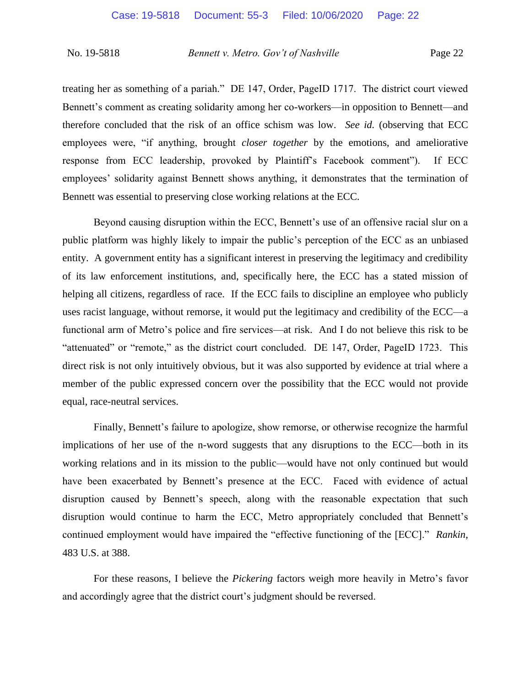treating her as something of a pariah." DE 147, Order, PageID 1717. The district court viewed Bennett's comment as creating solidarity among her co-workers—in opposition to Bennett—and therefore concluded that the risk of an office schism was low. *See id.* (observing that ECC employees were, "if anything, brought *closer together* by the emotions, and ameliorative response from ECC leadership, provoked by Plaintiff's Facebook comment"). If ECC employees' solidarity against Bennett shows anything, it demonstrates that the termination of Bennett was essential to preserving close working relations at the ECC.

Beyond causing disruption within the ECC, Bennett's use of an offensive racial slur on a public platform was highly likely to impair the public's perception of the ECC as an unbiased entity. A government entity has a significant interest in preserving the legitimacy and credibility of its law enforcement institutions, and, specifically here, the ECC has a stated mission of helping all citizens, regardless of race. If the ECC fails to discipline an employee who publicly uses racist language, without remorse, it would put the legitimacy and credibility of the ECC—a functional arm of Metro's police and fire services—at risk. And I do not believe this risk to be "attenuated" or "remote," as the district court concluded. DE 147, Order, PageID 1723. This direct risk is not only intuitively obvious, but it was also supported by evidence at trial where a member of the public expressed concern over the possibility that the ECC would not provide equal, race-neutral services.

Finally, Bennett's failure to apologize, show remorse, or otherwise recognize the harmful implications of her use of the n-word suggests that any disruptions to the ECC—both in its working relations and in its mission to the public—would have not only continued but would have been exacerbated by Bennett's presence at the ECC. Faced with evidence of actual disruption caused by Bennett's speech, along with the reasonable expectation that such disruption would continue to harm the ECC, Metro appropriately concluded that Bennett's continued employment would have impaired the "effective functioning of the [ECC]." *Rankin*, 483 U.S. at 388.

For these reasons, I believe the *Pickering* factors weigh more heavily in Metro's favor and accordingly agree that the district court's judgment should be reversed.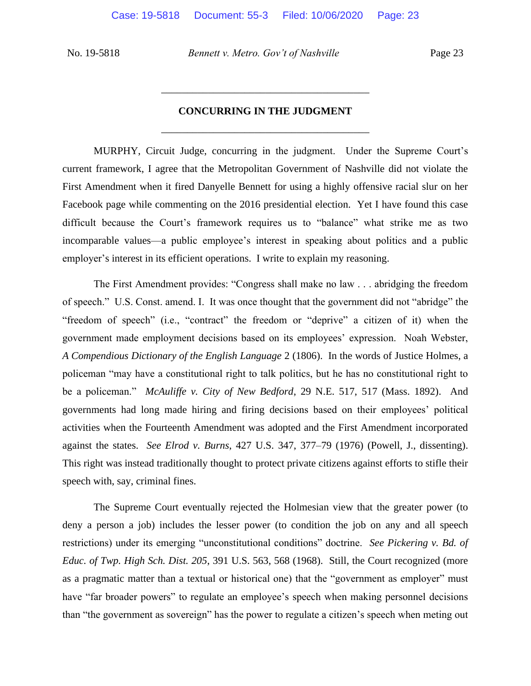# **CONCURRING IN THE JUDGMENT** \_\_\_\_\_\_\_\_\_\_\_\_\_\_\_\_\_\_\_\_\_\_\_\_\_\_\_\_\_\_\_\_\_\_\_\_\_\_\_\_

\_\_\_\_\_\_\_\_\_\_\_\_\_\_\_\_\_\_\_\_\_\_\_\_\_\_\_\_\_\_\_\_\_\_\_\_\_\_\_\_

MURPHY, Circuit Judge, concurring in the judgment. Under the Supreme Court's current framework, I agree that the Metropolitan Government of Nashville did not violate the First Amendment when it fired Danyelle Bennett for using a highly offensive racial slur on her Facebook page while commenting on the 2016 presidential election. Yet I have found this case difficult because the Court's framework requires us to "balance" what strike me as two incomparable values—a public employee's interest in speaking about politics and a public employer's interest in its efficient operations. I write to explain my reasoning.

The First Amendment provides: "Congress shall make no law . . . abridging the freedom of speech." U.S. Const. amend. I. It was once thought that the government did not "abridge" the "freedom of speech" (i.e., "contract" the freedom or "deprive" a citizen of it) when the government made employment decisions based on its employees' expression. Noah Webster, *A Compendious Dictionary of the English Language* 2 (1806). In the words of Justice Holmes, a policeman "may have a constitutional right to talk politics, but he has no constitutional right to be a policeman." *McAuliffe v. City of New Bedford*, 29 N.E. 517, 517 (Mass. 1892). And governments had long made hiring and firing decisions based on their employees' political activities when the Fourteenth Amendment was adopted and the First Amendment incorporated against the states. *See Elrod v. Burns*, 427 U.S. 347, 377–79 (1976) (Powell, J., dissenting). This right was instead traditionally thought to protect private citizens against efforts to stifle their speech with, say, criminal fines.

The Supreme Court eventually rejected the Holmesian view that the greater power (to deny a person a job) includes the lesser power (to condition the job on any and all speech restrictions) under its emerging "unconstitutional conditions" doctrine. *See Pickering v. Bd. of Educ. of Twp. High Sch. Dist. 205*, 391 U.S. 563, 568 (1968). Still, the Court recognized (more as a pragmatic matter than a textual or historical one) that the "government as employer" must have "far broader powers" to regulate an employee's speech when making personnel decisions than "the government as sovereign" has the power to regulate a citizen's speech when meting out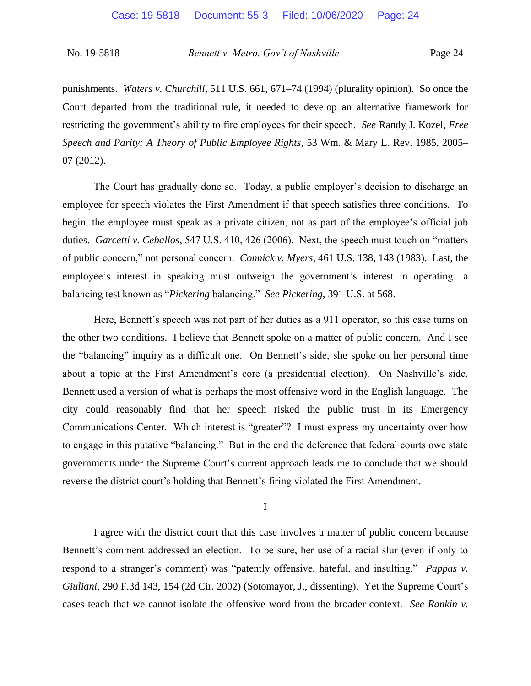punishments. *Waters v. Churchill*, 511 U.S. 661, 671–74 (1994) (plurality opinion). So once the Court departed from the traditional rule, it needed to develop an alternative framework for restricting the government's ability to fire employees for their speech. *See* Randy J. Kozel, *Free Speech and Parity: A Theory of Public Employee Rights*, 53 Wm. & Mary L. Rev. 1985, 2005– 07 (2012).

The Court has gradually done so. Today, a public employer's decision to discharge an employee for speech violates the First Amendment if that speech satisfies three conditions. To begin, the employee must speak as a private citizen, not as part of the employee's official job duties. *Garcetti v. Ceballos*, 547 U.S. 410, 426 (2006). Next, the speech must touch on "matters of public concern," not personal concern. *Connick v. Myers*, 461 U.S. 138, 143 (1983). Last, the employee's interest in speaking must outweigh the government's interest in operating—a balancing test known as "*Pickering* balancing." *See Pickering*, 391 U.S. at 568.

Here, Bennett's speech was not part of her duties as a 911 operator, so this case turns on the other two conditions. I believe that Bennett spoke on a matter of public concern. And I see the "balancing" inquiry as a difficult one. On Bennett's side, she spoke on her personal time about a topic at the First Amendment's core (a presidential election). On Nashville's side, Bennett used a version of what is perhaps the most offensive word in the English language. The city could reasonably find that her speech risked the public trust in its Emergency Communications Center. Which interest is "greater"? I must express my uncertainty over how to engage in this putative "balancing." But in the end the deference that federal courts owe state governments under the Supreme Court's current approach leads me to conclude that we should reverse the district court's holding that Bennett's firing violated the First Amendment.

I

I agree with the district court that this case involves a matter of public concern because Bennett's comment addressed an election. To be sure, her use of a racial slur (even if only to respond to a stranger's comment) was "patently offensive, hateful, and insulting." *Pappas v. Giuliani*, 290 F.3d 143, 154 (2d Cir. 2002) (Sotomayor, J., dissenting). Yet the Supreme Court's cases teach that we cannot isolate the offensive word from the broader context. *See Rankin v.*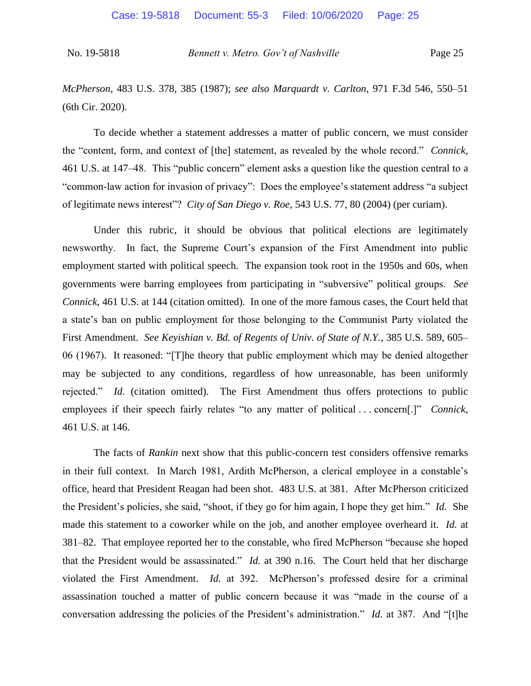*McPherson*, 483 U.S. 378, 385 (1987); *see also Marquardt v. Carlton*, 971 F.3d 546, 550–51 (6th Cir. 2020).

To decide whether a statement addresses a matter of public concern, we must consider the "content, form, and context of [the] statement, as revealed by the whole record." *Connick*, 461 U.S. at 147–48. This "public concern" element asks a question like the question central to a "common-law action for invasion of privacy": Does the employee's statement address "a subject of legitimate news interest"? *City of San Diego v. Roe*, 543 U.S. 77, 80 (2004) (per curiam).

Under this rubric, it should be obvious that political elections are legitimately newsworthy. In fact, the Supreme Court's expansion of the First Amendment into public employment started with political speech. The expansion took root in the 1950s and 60s, when governments were barring employees from participating in "subversive" political groups. *See Connick*, 461 U.S. at 144 (citation omitted). In one of the more famous cases, the Court held that a state's ban on public employment for those belonging to the Communist Party violated the First Amendment. *See Keyishian v. Bd. of Regents of Univ. of State of N.Y.*, 385 U.S. 589, 605– 06 (1967). It reasoned: "[T]he theory that public employment which may be denied altogether may be subjected to any conditions, regardless of how unreasonable, has been uniformly rejected." *Id.* (citation omitted). The First Amendment thus offers protections to public employees if their speech fairly relates "to any matter of political . . . concern[.]" *Connick*, 461 U.S. at 146.

The facts of *Rankin* next show that this public-concern test considers offensive remarks in their full context. In March 1981, Ardith McPherson, a clerical employee in a constable's office, heard that President Reagan had been shot. 483 U.S. at 381. After McPherson criticized the President's policies, she said, "shoot, if they go for him again, I hope they get him." *Id.* She made this statement to a coworker while on the job, and another employee overheard it. *Id.* at 381–82. That employee reported her to the constable, who fired McPherson "because she hoped that the President would be assassinated." *Id.* at 390 n.16. The Court held that her discharge violated the First Amendment. *Id.* at 392. McPherson's professed desire for a criminal assassination touched a matter of public concern because it was "made in the course of a conversation addressing the policies of the President's administration." *Id.* at 387. And "[t]he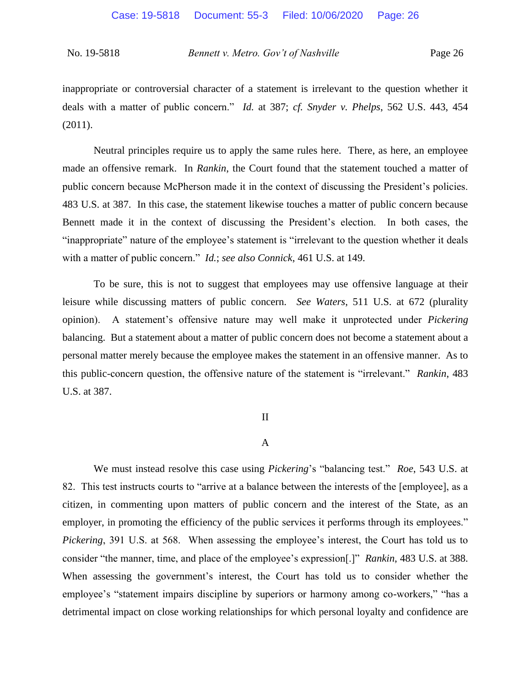inappropriate or controversial character of a statement is irrelevant to the question whether it deals with a matter of public concern." *Id.* at 387; *cf. Snyder v. Phelps*, 562 U.S. 443, 454 (2011).

Neutral principles require us to apply the same rules here. There, as here, an employee made an offensive remark. In *Rankin*, the Court found that the statement touched a matter of public concern because McPherson made it in the context of discussing the President's policies. 483 U.S. at 387. In this case, the statement likewise touches a matter of public concern because Bennett made it in the context of discussing the President's election. In both cases, the "inappropriate" nature of the employee's statement is "irrelevant to the question whether it deals with a matter of public concern." *Id.*; *see also Connick*, 461 U.S. at 149.

To be sure, this is not to suggest that employees may use offensive language at their leisure while discussing matters of public concern. *See Waters*, 511 U.S. at 672 (plurality opinion). A statement's offensive nature may well make it unprotected under *Pickering* balancing. But a statement about a matter of public concern does not become a statement about a personal matter merely because the employee makes the statement in an offensive manner. As to this public-concern question, the offensive nature of the statement is "irrelevant." *Rankin*, 483 U.S. at 387.

#### II

#### A

We must instead resolve this case using *Pickering*'s "balancing test." *Roe*, 543 U.S. at 82. This test instructs courts to "arrive at a balance between the interests of the [employee], as a citizen, in commenting upon matters of public concern and the interest of the State, as an employer, in promoting the efficiency of the public services it performs through its employees." *Pickering*, 391 U.S. at 568. When assessing the employee's interest, the Court has told us to consider "the manner, time, and place of the employee's expression[.]" *Rankin*, 483 U.S. at 388. When assessing the government's interest, the Court has told us to consider whether the employee's "statement impairs discipline by superiors or harmony among co-workers," "has a detrimental impact on close working relationships for which personal loyalty and confidence are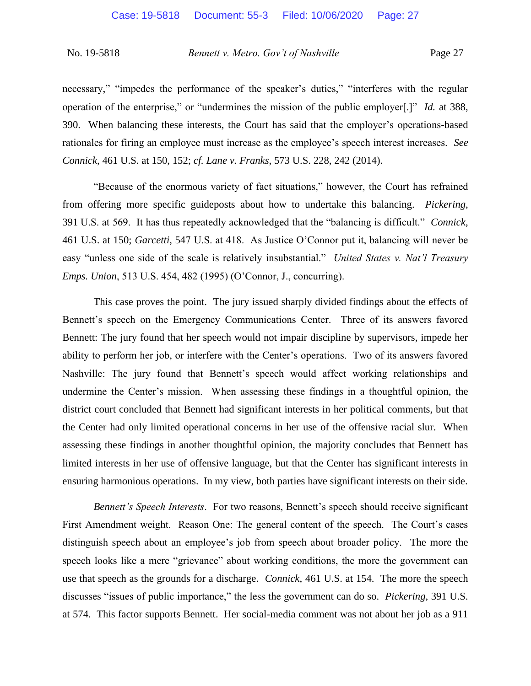necessary," "impedes the performance of the speaker's duties," "interferes with the regular operation of the enterprise," or "undermines the mission of the public employer[.]" *Id.* at 388, 390. When balancing these interests, the Court has said that the employer's operations-based rationales for firing an employee must increase as the employee's speech interest increases. *See Connick*, 461 U.S. at 150, 152; *cf. Lane v. Franks*, 573 U.S. 228, 242 (2014).

"Because of the enormous variety of fact situations," however, the Court has refrained from offering more specific guideposts about how to undertake this balancing. *Pickering*, 391 U.S. at 569. It has thus repeatedly acknowledged that the "balancing is difficult." *Connick*, 461 U.S. at 150; *Garcetti*, 547 U.S. at 418. As Justice O'Connor put it, balancing will never be easy "unless one side of the scale is relatively insubstantial." *United States v. Nat'l Treasury Emps. Union*, 513 U.S. 454, 482 (1995) (O'Connor, J., concurring).

This case proves the point. The jury issued sharply divided findings about the effects of Bennett's speech on the Emergency Communications Center. Three of its answers favored Bennett: The jury found that her speech would not impair discipline by supervisors, impede her ability to perform her job, or interfere with the Center's operations. Two of its answers favored Nashville: The jury found that Bennett's speech would affect working relationships and undermine the Center's mission. When assessing these findings in a thoughtful opinion, the district court concluded that Bennett had significant interests in her political comments, but that the Center had only limited operational concerns in her use of the offensive racial slur. When assessing these findings in another thoughtful opinion, the majority concludes that Bennett has limited interests in her use of offensive language, but that the Center has significant interests in ensuring harmonious operations. In my view, both parties have significant interests on their side.

*Bennett's Speech Interests*. For two reasons, Bennett's speech should receive significant First Amendment weight. Reason One: The general content of the speech. The Court's cases distinguish speech about an employee's job from speech about broader policy. The more the speech looks like a mere "grievance" about working conditions, the more the government can use that speech as the grounds for a discharge. *Connick*, 461 U.S. at 154. The more the speech discusses "issues of public importance," the less the government can do so. *Pickering*, 391 U.S. at 574. This factor supports Bennett. Her social-media comment was not about her job as a 911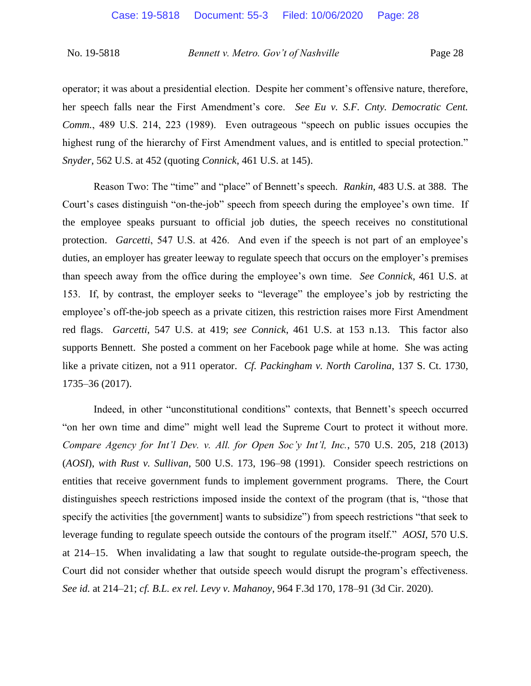operator; it was about a presidential election. Despite her comment's offensive nature, therefore, her speech falls near the First Amendment's core. *See Eu v. S.F. Cnty. Democratic Cent. Comm.*, 489 U.S. 214, 223 (1989). Even outrageous "speech on public issues occupies the highest rung of the hierarchy of First Amendment values, and is entitled to special protection." *Snyder*, 562 U.S. at 452 (quoting *Connick*, 461 U.S. at 145).

Reason Two: The "time" and "place" of Bennett's speech. *Rankin*, 483 U.S. at 388. The Court's cases distinguish "on-the-job" speech from speech during the employee's own time. If the employee speaks pursuant to official job duties, the speech receives no constitutional protection. *Garcetti*, 547 U.S. at 426. And even if the speech is not part of an employee's duties, an employer has greater leeway to regulate speech that occurs on the employer's premises than speech away from the office during the employee's own time. *See Connick*, 461 U.S. at 153. If, by contrast, the employer seeks to "leverage" the employee's job by restricting the employee's off-the-job speech as a private citizen, this restriction raises more First Amendment red flags. *Garcetti*, 547 U.S. at 419; *see Connick*, 461 U.S. at 153 n.13. This factor also supports Bennett. She posted a comment on her Facebook page while at home. She was acting like a private citizen, not a 911 operator. *Cf. Packingham v. North Carolina*, 137 S. Ct. 1730, 1735–36 (2017).

Indeed, in other "unconstitutional conditions" contexts, that Bennett's speech occurred "on her own time and dime" might well lead the Supreme Court to protect it without more. *Compare Agency for Int'l Dev. v. All. for Open Soc'y Int'l, Inc.*, 570 U.S. 205, 218 (2013) (*AOSI*), *with Rust v. Sullivan*, 500 U.S. 173, 196–98 (1991). Consider speech restrictions on entities that receive government funds to implement government programs. There, the Court distinguishes speech restrictions imposed inside the context of the program (that is, "those that specify the activities [the government] wants to subsidize") from speech restrictions "that seek to leverage funding to regulate speech outside the contours of the program itself." *AOSI*, 570 U.S. at 214–15. When invalidating a law that sought to regulate outside-the-program speech, the Court did not consider whether that outside speech would disrupt the program's effectiveness. *See id.* at 214–21; *cf. B.L. ex rel. Levy v. Mahanoy*, 964 F.3d 170, 178–91 (3d Cir. 2020).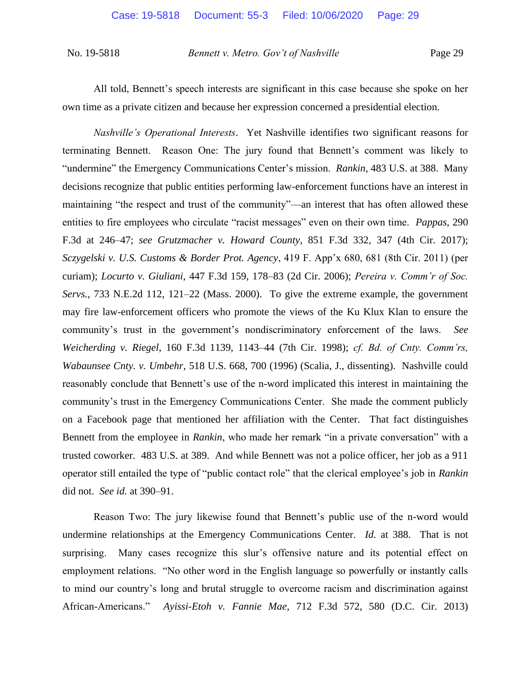All told, Bennett's speech interests are significant in this case because she spoke on her own time as a private citizen and because her expression concerned a presidential election.

*Nashville's Operational Interests*. Yet Nashville identifies two significant reasons for terminating Bennett. Reason One: The jury found that Bennett's comment was likely to "undermine" the Emergency Communications Center's mission. *Rankin*, 483 U.S. at 388. Many decisions recognize that public entities performing law-enforcement functions have an interest in maintaining "the respect and trust of the community"—an interest that has often allowed these entities to fire employees who circulate "racist messages" even on their own time. *Pappas*, 290 F.3d at 246–47; *see Grutzmacher v. Howard County*, 851 F.3d 332, 347 (4th Cir. 2017); *Sczygelski v. U.S. Customs & Border Prot. Agency*, 419 F. App'x 680, 681 (8th Cir. 2011) (per curiam); *Locurto v. Giuliani*, 447 F.3d 159, 178–83 (2d Cir. 2006); *Pereira v. Comm'r of Soc. Servs.*, 733 N.E.2d 112, 121–22 (Mass. 2000). To give the extreme example, the government may fire law-enforcement officers who promote the views of the Ku Klux Klan to ensure the community's trust in the government's nondiscriminatory enforcement of the laws. *See Weicherding v. Riegel*, 160 F.3d 1139, 1143–44 (7th Cir. 1998); *cf. Bd. of Cnty. Comm'rs, Wabaunsee Cnty. v. Umbehr*, 518 U.S. 668, 700 (1996) (Scalia, J., dissenting). Nashville could reasonably conclude that Bennett's use of the n-word implicated this interest in maintaining the community's trust in the Emergency Communications Center. She made the comment publicly on a Facebook page that mentioned her affiliation with the Center. That fact distinguishes Bennett from the employee in *Rankin*, who made her remark "in a private conversation" with a trusted coworker. 483 U.S. at 389. And while Bennett was not a police officer, her job as a 911 operator still entailed the type of "public contact role" that the clerical employee's job in *Rankin* did not. *See id.* at 390–91.

Reason Two: The jury likewise found that Bennett's public use of the n-word would undermine relationships at the Emergency Communications Center. *Id.* at 388. That is not surprising. Many cases recognize this slur's offensive nature and its potential effect on employment relations. "No other word in the English language so powerfully or instantly calls to mind our country's long and brutal struggle to overcome racism and discrimination against African-Americans." *Ayissi-Etoh v. Fannie Mae*, 712 F.3d 572, 580 (D.C. Cir. 2013)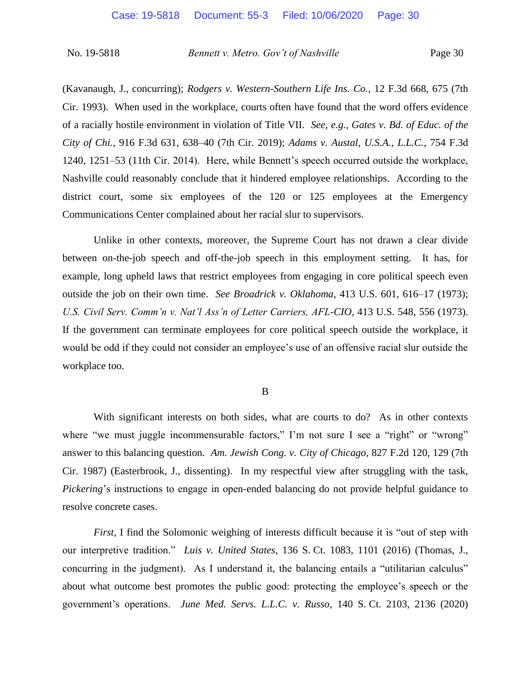(Kavanaugh, J., concurring); *Rodgers v. Western-Southern Life Ins. Co.*, 12 F.3d 668, 675 (7th Cir. 1993). When used in the workplace, courts often have found that the word offers evidence of a racially hostile environment in violation of Title VII. *See, e.g.*, *Gates v. Bd. of Educ. of the City of Chi.*, 916 F.3d 631, 638–40 (7th Cir. 2019); *Adams v. Austal, U.S.A., L.L.C.*, 754 F.3d 1240, 1251–53 (11th Cir. 2014). Here, while Bennett's speech occurred outside the workplace, Nashville could reasonably conclude that it hindered employee relationships. According to the district court, some six employees of the 120 or 125 employees at the Emergency Communications Center complained about her racial slur to supervisors.

Unlike in other contexts, moreover, the Supreme Court has not drawn a clear divide between on-the-job speech and off-the-job speech in this employment setting. It has, for example, long upheld laws that restrict employees from engaging in core political speech even outside the job on their own time. *See Broadrick v. Oklahoma*, 413 U.S. 601, 616–17 (1973); *U.S. Civil Serv. Comm'n v. Nat'l Ass'n of Letter Carriers, AFL-CIO*, 413 U.S. 548, 556 (1973). If the government can terminate employees for core political speech outside the workplace, it would be odd if they could not consider an employee's use of an offensive racial slur outside the workplace too.

#### B

With significant interests on both sides, what are courts to do? As in other contexts where "we must juggle incommensurable factors," I'm not sure I see a "right" or "wrong" answer to this balancing question. *Am. Jewish Cong. v. City of Chicago*, 827 F.2d 120, 129 (7th Cir. 1987) (Easterbrook, J., dissenting). In my respectful view after struggling with the task, *Pickering*'s instructions to engage in open-ended balancing do not provide helpful guidance to resolve concrete cases.

*First*, I find the Solomonic weighing of interests difficult because it is "out of step with our interpretive tradition." *Luis v. United States*, 136 S. Ct. 1083, 1101 (2016) (Thomas, J., concurring in the judgment). As I understand it, the balancing entails a "utilitarian calculus" about what outcome best promotes the public good: protecting the employee's speech or the government's operations. *June Med. Servs. L.L.C. v. Russo*, 140 S. Ct. 2103, 2136 (2020)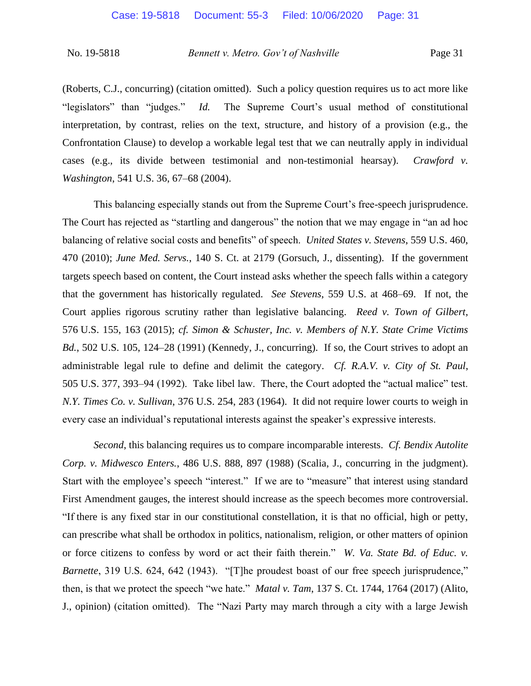(Roberts, C.J., concurring) (citation omitted). Such a policy question requires us to act more like "legislators" than "judges." *Id.* The Supreme Court's usual method of constitutional interpretation, by contrast, relies on the text, structure, and history of a provision (e.g., the Confrontation Clause) to develop a workable legal test that we can neutrally apply in individual cases (e.g., its divide between testimonial and non-testimonial hearsay). *Crawford v. Washington*, 541 U.S. 36, 67–68 (2004).

This balancing especially stands out from the Supreme Court's free-speech jurisprudence. The Court has rejected as "startling and dangerous" the notion that we may engage in "an ad hoc balancing of relative social costs and benefits" of speech. *United States v. Stevens*, 559 U.S. 460, 470 (2010); *June Med. Servs.*, 140 S. Ct. at 2179 (Gorsuch, J., dissenting). If the government targets speech based on content, the Court instead asks whether the speech falls within a category that the government has historically regulated. *See Stevens*, 559 U.S. at 468–69. If not, the Court applies rigorous scrutiny rather than legislative balancing. *Reed v. Town of Gilbert*, 576 U.S. 155, 163 (2015); *cf. Simon & Schuster, Inc. v. Members of N.Y. State Crime Victims Bd.*, 502 U.S. 105, 124–28 (1991) (Kennedy, J., concurring). If so, the Court strives to adopt an administrable legal rule to define and delimit the category. *Cf. R.A.V. v. City of St. Paul*, 505 U.S. 377, 393–94 (1992). Take libel law. There, the Court adopted the "actual malice" test. *N.Y. Times Co. v. Sullivan*, 376 U.S. 254, 283 (1964). It did not require lower courts to weigh in every case an individual's reputational interests against the speaker's expressive interests.

*Second*, this balancing requires us to compare incomparable interests. *Cf. Bendix Autolite Corp. v. Midwesco Enters.*, 486 U.S. 888, 897 (1988) (Scalia, J., concurring in the judgment). Start with the employee's speech "interest." If we are to "measure" that interest using standard First Amendment gauges, the interest should increase as the speech becomes more controversial. "If there is any fixed star in our constitutional constellation, it is that no official, high or petty, can prescribe what shall be orthodox in politics, nationalism, religion, or other matters of opinion or force citizens to confess by word or act their faith therein." *W. Va. State Bd. of Educ. v. Barnette*, 319 U.S. 624, 642 (1943). "[T]he proudest boast of our free speech jurisprudence," then, is that we protect the speech "we hate." *Matal v. Tam*, 137 S. Ct. 1744, 1764 (2017) (Alito, J., opinion) (citation omitted). The "Nazi Party may march through a city with a large Jewish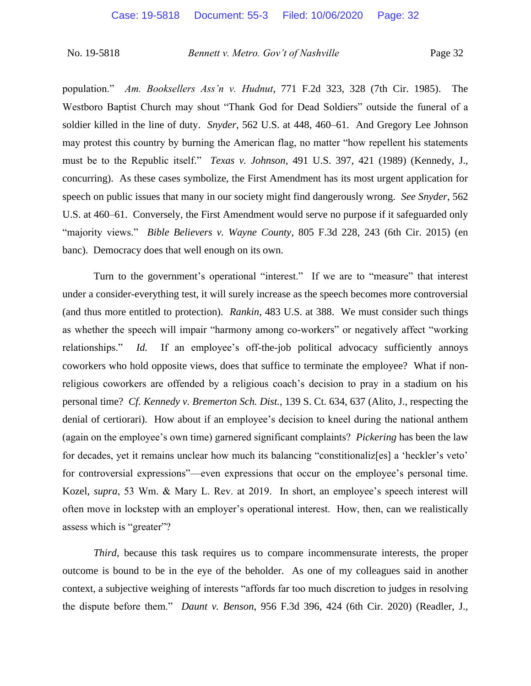population." *Am. Booksellers Ass'n v. Hudnut*, 771 F.2d 323, 328 (7th Cir. 1985). The Westboro Baptist Church may shout "Thank God for Dead Soldiers" outside the funeral of a soldier killed in the line of duty. *Snyder*, 562 U.S. at 448, 460–61. And Gregory Lee Johnson may protest this country by burning the American flag, no matter "how repellent his statements must be to the Republic itself." *Texas v. Johnson*, 491 U.S. 397, 421 (1989) (Kennedy, J., concurring). As these cases symbolize, the First Amendment has its most urgent application for speech on public issues that many in our society might find dangerously wrong. *See Snyder*, 562 U.S. at 460–61. Conversely, the First Amendment would serve no purpose if it safeguarded only "majority views." *Bible Believers v. Wayne County*, 805 F.3d 228, 243 (6th Cir. 2015) (en banc). Democracy does that well enough on its own.

Turn to the government's operational "interest." If we are to "measure" that interest under a consider-everything test, it will surely increase as the speech becomes more controversial (and thus more entitled to protection). *Rankin*, 483 U.S. at 388. We must consider such things as whether the speech will impair "harmony among co-workers" or negatively affect "working relationships." *Id.* If an employee's off-the-job political advocacy sufficiently annoys coworkers who hold opposite views, does that suffice to terminate the employee? What if nonreligious coworkers are offended by a religious coach's decision to pray in a stadium on his personal time? *Cf. Kennedy v. Bremerton Sch. Dist.*, 139 S. Ct. 634, 637 (Alito, J., respecting the denial of certiorari). How about if an employee's decision to kneel during the national anthem (again on the employee's own time) garnered significant complaints? *Pickering* has been the law for decades, yet it remains unclear how much its balancing "constitionaliz[es] a 'heckler's veto' for controversial expressions"—even expressions that occur on the employee's personal time. Kozel, *supra*, 53 Wm. & Mary L. Rev. at 2019. In short, an employee's speech interest will often move in lockstep with an employer's operational interest. How, then, can we realistically assess which is "greater"?

*Third*, because this task requires us to compare incommensurate interests, the proper outcome is bound to be in the eye of the beholder. As one of my colleagues said in another context, a subjective weighing of interests "affords far too much discretion to judges in resolving the dispute before them." *Daunt v. Benson*, 956 F.3d 396, 424 (6th Cir. 2020) (Readler, J.,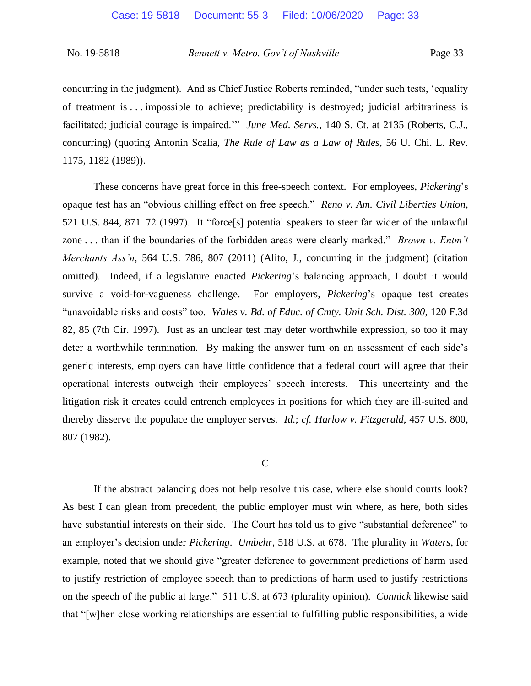concurring in the judgment). And as Chief Justice Roberts reminded, "under such tests, 'equality of treatment is . . . impossible to achieve; predictability is destroyed; judicial arbitrariness is facilitated; judicial courage is impaired.'" *June Med. Servs.*, 140 S. Ct. at 2135 (Roberts, C.J., concurring) (quoting Antonin Scalia, *The Rule of Law as a Law of Rules*, 56 U. Chi. L. Rev. 1175, 1182 (1989)).

These concerns have great force in this free-speech context. For employees, *Pickering*'s opaque test has an "obvious chilling effect on free speech." *Reno v. Am. Civil Liberties Union*, 521 U.S. 844, 871–72 (1997). It "force[s] potential speakers to steer far wider of the unlawful zone . . . than if the boundaries of the forbidden areas were clearly marked." *Brown v. Entm't Merchants Ass'n*, 564 U.S. 786, 807 (2011) (Alito, J., concurring in the judgment) (citation omitted). Indeed, if a legislature enacted *Pickering*'s balancing approach, I doubt it would survive a void-for-vagueness challenge. For employers, *Pickering*'s opaque test creates "unavoidable risks and costs" too. *Wales v. Bd. of Educ. of Cmty. Unit Sch. Dist. 300*, 120 F.3d 82, 85 (7th Cir. 1997). Just as an unclear test may deter worthwhile expression, so too it may deter a worthwhile termination. By making the answer turn on an assessment of each side's generic interests, employers can have little confidence that a federal court will agree that their operational interests outweigh their employees' speech interests. This uncertainty and the litigation risk it creates could entrench employees in positions for which they are ill-suited and thereby disserve the populace the employer serves. *Id.*; *cf. Harlow v. Fitzgerald*, 457 U.S. 800, 807 (1982).

### C

If the abstract balancing does not help resolve this case, where else should courts look? As best I can glean from precedent, the public employer must win where, as here, both sides have substantial interests on their side. The Court has told us to give "substantial deference" to an employer's decision under *Pickering*. *Umbehr*, 518 U.S. at 678. The plurality in *Waters*, for example, noted that we should give "greater deference to government predictions of harm used to justify restriction of employee speech than to predictions of harm used to justify restrictions on the speech of the public at large." 511 U.S. at 673 (plurality opinion). *Connick* likewise said that "[w]hen close working relationships are essential to fulfilling public responsibilities, a wide